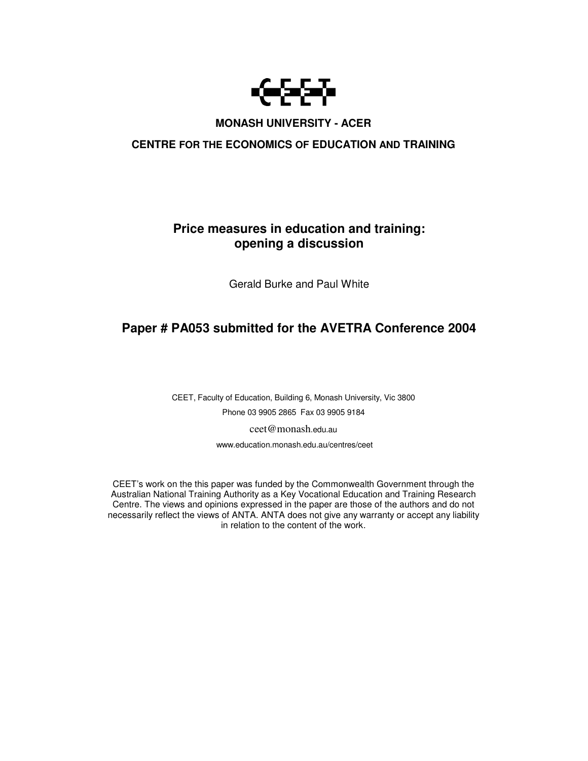

# **MONASH UNIVERSITY - ACER**

# **CENTRE FOR THE ECONOMICS OF EDUCATION AND TRAINING**

# **Price measures in education and training: opening a discussion**

Gerald Burke and Paul White

# **Paper # PA053 submitted for the AVETRA Conference 2004**

CEET, Faculty of Education, Building 6, Monash University, Vic 3800 Phone 03 9905 2865 Fax 03 9905 9184

ceet@monash.edu.au

www.education.monash.edu.au/centres/ceet

CEET's work on the this paper was funded by the Commonwealth Government through the Australian National Training Authority as a Key Vocational Education and Training Research Centre. The views and opinions expressed in the paper are those of the authors and do not necessarily reflect the views of ANTA. ANTA does not give any warranty or accept any liability in relation to the content of the work.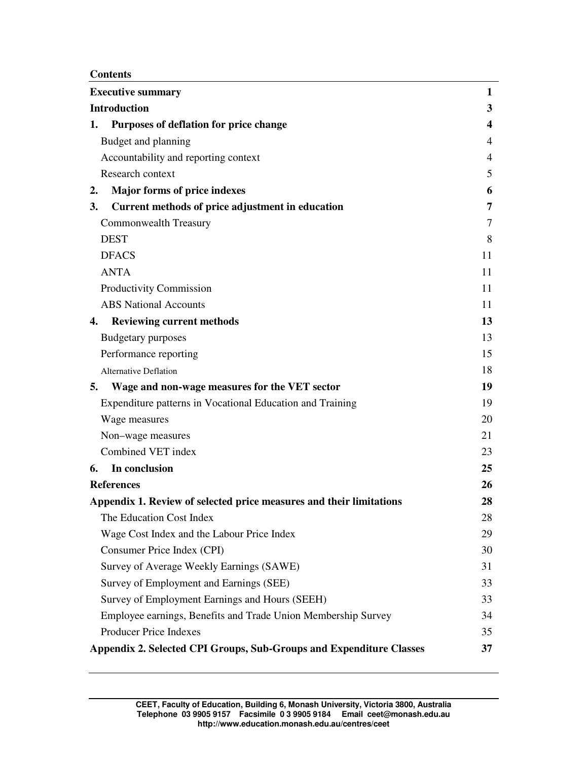**Contents**

| <b>Executive summary</b>                                            | 1                       |
|---------------------------------------------------------------------|-------------------------|
| <b>Introduction</b>                                                 | $\mathbf{3}$            |
| Purposes of deflation for price change<br>1.                        | $\overline{\mathbf{4}}$ |
| Budget and planning                                                 | $\overline{4}$          |
| Accountability and reporting context                                | $\overline{4}$          |
| Research context                                                    | 5                       |
| Major forms of price indexes<br>2.                                  | 6                       |
| Current methods of price adjustment in education<br>3.              | 7                       |
| Commonwealth Treasury                                               | 7                       |
| <b>DEST</b>                                                         | 8                       |
| <b>DFACS</b>                                                        | 11                      |
| <b>ANTA</b>                                                         | 11                      |
| Productivity Commission                                             | 11                      |
| <b>ABS</b> National Accounts                                        | 11                      |
| <b>Reviewing current methods</b><br>4.                              | 13                      |
| <b>Budgetary purposes</b>                                           | 13                      |
| Performance reporting                                               | 15                      |
| <b>Alternative Deflation</b>                                        | 18                      |
| Wage and non-wage measures for the VET sector<br>5.                 | 19                      |
| Expenditure patterns in Vocational Education and Training           | 19                      |
| Wage measures                                                       | 20                      |
| Non-wage measures                                                   | 21                      |
| Combined VET index                                                  | 23                      |
| In conclusion<br>6.                                                 | 25                      |
| <b>References</b>                                                   | 26                      |
| Appendix 1. Review of selected price measures and their limitations | 28                      |
| The Education Cost Index                                            | 28                      |
| Wage Cost Index and the Labour Price Index                          | 29                      |
| Consumer Price Index (CPI)                                          | 30                      |
| Survey of Average Weekly Earnings (SAWE)                            | 31                      |
| Survey of Employment and Earnings (SEE)                             | 33                      |
| Survey of Employment Earnings and Hours (SEEH)                      | 33                      |
| Employee earnings, Benefits and Trade Union Membership Survey       | 34                      |
| Producer Price Indexes                                              | 35                      |
| Appendix 2. Selected CPI Groups, Sub-Groups and Expenditure Classes | 37                      |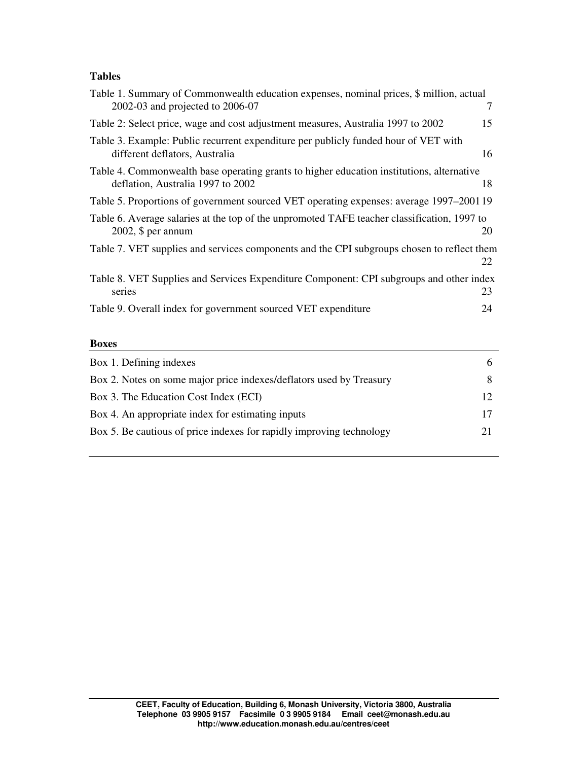# **Tables**

| Table 1. Summary of Commonwealth education expenses, nominal prices, \$ million, actual<br>2002-03 and projected to 2006-07    | 7  |
|--------------------------------------------------------------------------------------------------------------------------------|----|
| Table 2: Select price, wage and cost adjustment measures, Australia 1997 to 2002                                               | 15 |
| Table 3. Example: Public recurrent expenditure per publicly funded hour of VET with<br>different deflators, Australia          | 16 |
| Table 4. Commonwealth base operating grants to higher education institutions, alternative<br>deflation, Australia 1997 to 2002 | 18 |
| Table 5. Proportions of government sourced VET operating expenses: average 1997–200119                                         |    |
| Table 6. Average salaries at the top of the unpromoted TAFE teacher classification, 1997 to<br>$2002$ , \$ per annum           | 20 |
| Table 7. VET supplies and services components and the CPI subgroups chosen to reflect them                                     | 22 |
| Table 8. VET Supplies and Services Expenditure Component: CPI subgroups and other index<br>series                              | 23 |
| Table 9. Overall index for government sourced VET expenditure                                                                  | 24 |
|                                                                                                                                |    |

#### **Boxes**

| Box 1. Defining indexes                                              |  |
|----------------------------------------------------------------------|--|
| Box 2. Notes on some major price indexes/deflators used by Treasury  |  |
| Box 3. The Education Cost Index (ECI)                                |  |
| Box 4. An appropriate index for estimating inputs                    |  |
| Box 5. Be cautious of price indexes for rapidly improving technology |  |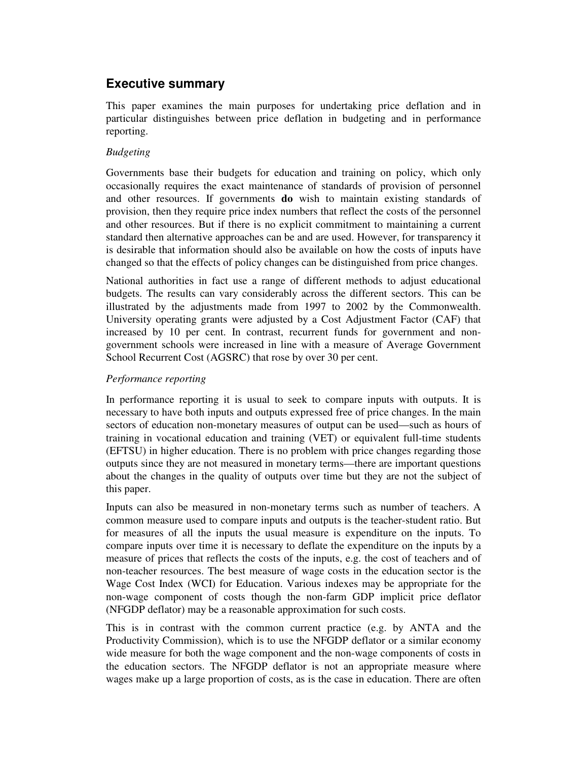# **Executive summary**

This paper examines the main purposes for undertaking price deflation and in particular distinguishes between price deflation in budgeting and in performance reporting.

## *Budgeting*

Governments base their budgets for education and training on policy, which only occasionally requires the exact maintenance of standards of provision of personnel and other resources. If governments **do** wish to maintain existing standards of provision, then they require price index numbers that reflect the costs of the personnel and other resources. But if there is no explicit commitment to maintaining a current standard then alternative approaches can be and are used. However, for transparency it is desirable that information should also be available on how the costs of inputs have changed so that the effects of policy changes can be distinguished from price changes.

National authorities in fact use a range of different methods to adjust educational budgets. The results can vary considerably across the different sectors. This can be illustrated by the adjustments made from 1997 to 2002 by the Commonwealth. University operating grants were adjusted by a Cost Adjustment Factor (CAF) that increased by 10 per cent. In contrast, recurrent funds for government and nongovernment schools were increased in line with a measure of Average Government School Recurrent Cost (AGSRC) that rose by over 30 per cent.

## *Performance reporting*

In performance reporting it is usual to seek to compare inputs with outputs. It is necessary to have both inputs and outputs expressed free of price changes. In the main sectors of education non-monetary measures of output can be used—such as hours of training in vocational education and training (VET) or equivalent full-time students (EFTSU) in higher education. There is no problem with price changes regarding those outputs since they are not measured in monetary terms—there are important questions about the changes in the quality of outputs over time but they are not the subject of this paper.

Inputs can also be measured in non-monetary terms such as number of teachers. A common measure used to compare inputs and outputs is the teacher-student ratio. But for measures of all the inputs the usual measure is expenditure on the inputs. To compare inputs over time it is necessary to deflate the expenditure on the inputs by a measure of prices that reflects the costs of the inputs, e.g. the cost of teachers and of non-teacher resources. The best measure of wage costs in the education sector is the Wage Cost Index (WCI) for Education. Various indexes may be appropriate for the non-wage component of costs though the non-farm GDP implicit price deflator (NFGDP deflator) may be a reasonable approximation for such costs.

This is in contrast with the common current practice (e.g. by ANTA and the Productivity Commission), which is to use the NFGDP deflator or a similar economy wide measure for both the wage component and the non-wage components of costs in the education sectors. The NFGDP deflator is not an appropriate measure where wages make up a large proportion of costs, as is the case in education. There are often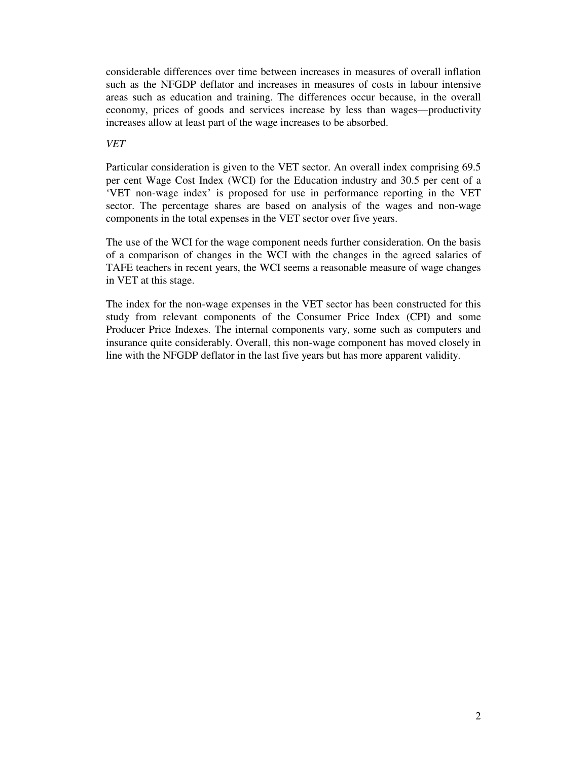considerable differences over time between increases in measures of overall inflation such as the NFGDP deflator and increases in measures of costs in labour intensive areas such as education and training. The differences occur because, in the overall economy, prices of goods and services increase by less than wages—productivity increases allow at least part of the wage increases to be absorbed.

## *VET*

Particular consideration is given to the VET sector. An overall index comprising 69.5 per cent Wage Cost Index (WCI) for the Education industry and 30.5 per cent of a 'VET non-wage index' is proposed for use in performance reporting in the VET sector. The percentage shares are based on analysis of the wages and non-wage components in the total expenses in the VET sector over five years.

The use of the WCI for the wage component needs further consideration. On the basis of a comparison of changes in the WCI with the changes in the agreed salaries of TAFE teachers in recent years, the WCI seems a reasonable measure of wage changes in VET at this stage.

The index for the non-wage expenses in the VET sector has been constructed for this study from relevant components of the Consumer Price Index (CPI) and some Producer Price Indexes. The internal components vary, some such as computers and insurance quite considerably. Overall, this non-wage component has moved closely in line with the NFGDP deflator in the last five years but has more apparent validity.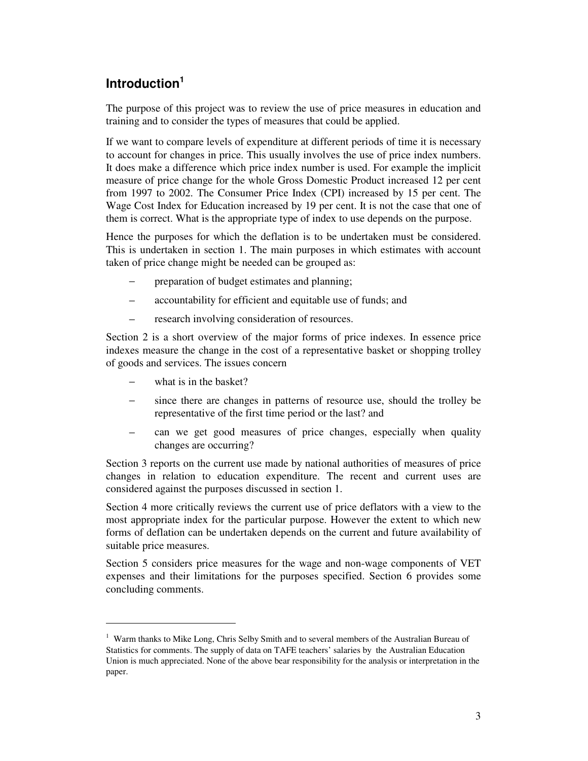# **Introduction 1**

The purpose of this project was to review the use of price measures in education and training and to consider the types of measures that could be applied.

If we want to compare levels of expenditure at different periods of time it is necessary to account for changes in price. This usually involves the use of price index numbers. It does make a difference which price index number is used. For example the implicit measure of price change for the whole Gross Domestic Product increased 12 per cent from 1997 to 2002. The Consumer Price Index (CPI) increased by 15 per cent. The Wage Cost Index for Education increased by 19 per cent. It is not the case that one of them is correct. What is the appropriate type of index to use depends on the purpose.

Hence the purposes for which the deflation is to be undertaken must be considered. This is undertaken in section 1. The main purposes in which estimates with account taken of price change might be needed can be grouped as:

- preparation of budget estimates and planning;
- − accountability for efficient and equitable use of funds; and
- research involving consideration of resources.

Section 2 is a short overview of the major forms of price indexes. In essence price indexes measure the change in the cost of a representative basket or shopping trolley of goods and services. The issues concern

- what is in the basket?
- since there are changes in patterns of resource use, should the trolley be representative of the first time period or the last? and
- − can we get good measures of price changes, especially when quality changes are occurring?

Section 3 reports on the current use made by national authorities of measures of price changes in relation to education expenditure. The recent and current uses are considered against the purposes discussed in section 1.

Section 4 more critically reviews the current use of price deflators with a view to the most appropriate index for the particular purpose. However the extent to which new forms of deflation can be undertaken depends on the current and future availability of suitable price measures.

Section 5 considers price measures for the wage and non-wage components of VET expenses and their limitations for the purposes specified. Section 6 provides some concluding comments.

<sup>&</sup>lt;sup>1</sup> Warm thanks to Mike Long, Chris Selby Smith and to several members of the Australian Bureau of Statistics for comments. The supply of data on TAFE teachers' salaries by the Australian Education Union is much appreciated. None of the above bear responsibility for the analysis or interpretation in the paper.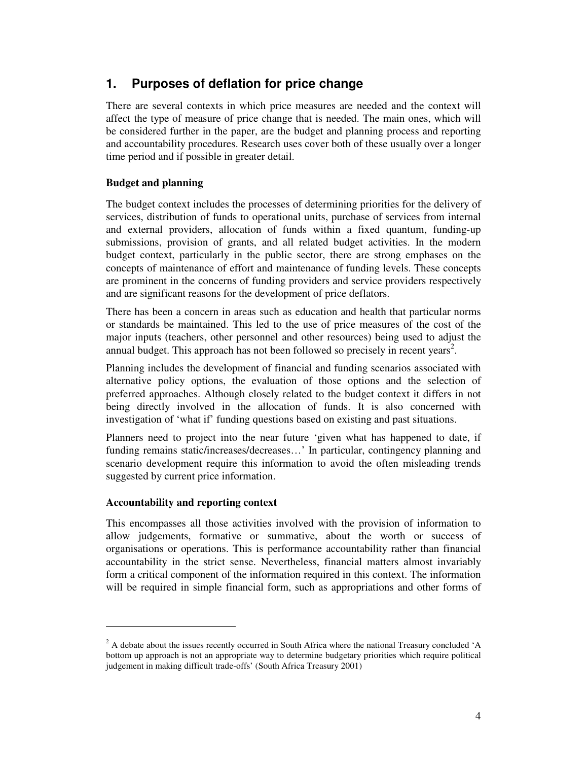# **1. Purposes of deflation for price change**

There are several contexts in which price measures are needed and the context will affect the type of measure of price change that is needed. The main ones, which will be considered further in the paper, are the budget and planning process and reporting and accountability procedures. Research uses cover both of these usually over a longer time period and if possible in greater detail.

# **Budget and planning**

The budget context includes the processes of determining priorities for the delivery of services, distribution of funds to operational units, purchase of services from internal and external providers, allocation of funds within a fixed quantum, funding-up submissions, provision of grants, and all related budget activities. In the modern budget context, particularly in the public sector, there are strong emphases on the concepts of maintenance of effort and maintenance of funding levels. These concepts are prominent in the concerns of funding providers and service providers respectively and are significant reasons for the development of price deflators.

There has been a concern in areas such as education and health that particular norms or standards be maintained. This led to the use of price measures of the cost of the major inputs (teachers, other personnel and other resources) being used to adjust the annual budget. This approach has not been followed so precisely in recent years<sup>2</sup>.

Planning includes the development of financial and funding scenarios associated with alternative policy options, the evaluation of those options and the selection of preferred approaches. Although closely related to the budget context it differs in not being directly involved in the allocation of funds. It is also concerned with investigation of 'what if' funding questions based on existing and past situations.

Planners need to project into the near future 'given what has happened to date, if funding remains static/increases/decreases…' In particular, contingency planning and scenario development require this information to avoid the often misleading trends suggested by current price information.

# **Accountability and reporting context**

This encompasses all those activities involved with the provision of information to allow judgements, formative or summative, about the worth or success of organisations or operations. This is performance accountability rather than financial accountability in the strict sense. Nevertheless, financial matters almost invariably form a critical component of the information required in this context. The information will be required in simple financial form, such as appropriations and other forms of

 $2$  A debate about the issues recently occurred in South Africa where the national Treasury concluded 'A bottom up approach is not an appropriate way to determine budgetary priorities which require political judgement in making difficult trade-offs' (South Africa Treasury 2001)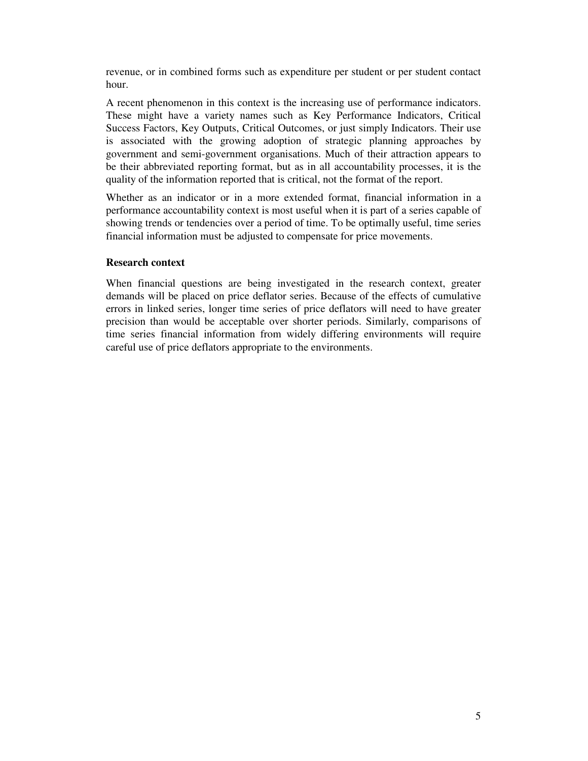revenue, or in combined forms such as expenditure per student or per student contact hour.

A recent phenomenon in this context is the increasing use of performance indicators. These might have a variety names such as Key Performance Indicators, Critical Success Factors, Key Outputs, Critical Outcomes, or just simply Indicators. Their use is associated with the growing adoption of strategic planning approaches by government and semi-government organisations. Much of their attraction appears to be their abbreviated reporting format, but as in all accountability processes, it is the quality of the information reported that is critical, not the format of the report.

Whether as an indicator or in a more extended format, financial information in a performance accountability context is most useful when it is part of a series capable of showing trends or tendencies over a period of time. To be optimally useful, time series financial information must be adjusted to compensate for price movements.

#### **Research context**

When financial questions are being investigated in the research context, greater demands will be placed on price deflator series. Because of the effects of cumulative errors in linked series, longer time series of price deflators will need to have greater precision than would be acceptable over shorter periods. Similarly, comparisons of time series financial information from widely differing environments will require careful use of price deflators appropriate to the environments.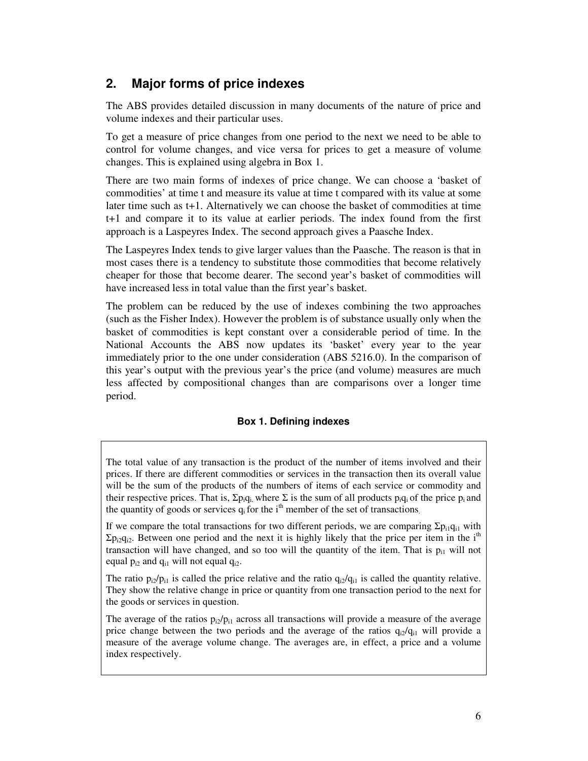# **2. Major forms of price indexes**

The ABS provides detailed discussion in many documents of the nature of price and volume indexes and their particular uses.

To get a measure of price changes from one period to the next we need to be able to control for volume changes, and vice versa for prices to get a measure of volume changes. This is explained using algebra in Box 1.

There are two main forms of indexes of price change. We can choose a 'basket of commodities' at time t and measure its value at time t compared with its value at some later time such as t+1. Alternatively we can choose the basket of commodities at time t+1 and compare it to its value at earlier periods. The index found from the first approach is a Laspeyres Index. The second approach gives a Paasche Index.

The Laspeyres Index tends to give larger values than the Paasche. The reason is that in most cases there is a tendency to substitute those commodities that become relatively cheaper for those that become dearer. The second year's basket of commodities will have increased less in total value than the first year's basket.

The problem can be reduced by the use of indexes combining the two approaches (such as the Fisher Index). However the problem is of substance usually only when the basket of commodities is kept constant over a considerable period of time. In the National Accounts the ABS now updates its 'basket' every year to the year immediately prior to the one under consideration (ABS 5216.0). In the comparison of this year's output with the previous year's the price (and volume) measures are much less affected by compositional changes than are comparisons over a longer time period.

## **Box 1. Defining indexes**

If we compare the total transactions for two different periods, we are comparing  $\Sigma p_{i1}q_{i1}$  with  $\Sigma$ p<sub>i2</sub>q<sub>i2</sub>. Between one period and the next it is highly likely that the price per item in the i<sup>th</sup> transaction will have changed, and so too will the quantity of the item. That is  $p_{i1}$  will not equal  $p_{i2}$  and  $q_{i1}$  will not equal  $q_{i2}$ .

The ratio  $p_{i2}/p_{i1}$  is called the price relative and the ratio  $q_{i2}/q_{i1}$  is called the quantity relative. They show the relative change in price or quantity from one transaction period to the next for the goods or services in question.

The average of the ratios  $p_{i2}/p_{i1}$  across all transactions will provide a measure of the average price change between the two periods and the average of the ratios  $q_{i2}/q_{i1}$  will provide a measure of the average volume change. The averages are, in effect, a price and a volume index respectively.

The total value of any transaction is the product of the number of items involved and their prices. If there are different commodities or services in the transaction then its overall value will be the sum of the products of the numbers of items of each service or commodity and their respective prices. That is,  $\Sigma$ p<sub>i</sub>q<sub>i</sub>, where  $\Sigma$  is the sum of all products p<sub>i</sub>q<sub>i</sub> of the price p<sub>i</sub> and the quantity of goods or services  $q_i$  for the i<sup>th</sup> member of the set of transactions.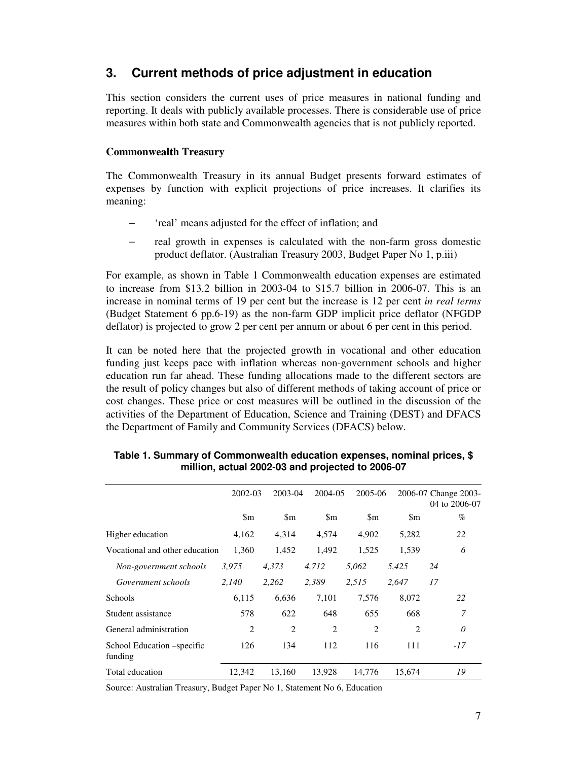# **3. Current methods of price adjustment in education**

This section considers the current uses of price measures in national funding and reporting. It deals with publicly available processes. There is considerable use of price measures within both state and Commonwealth agencies that is not publicly reported.

# **Commonwealth Treasury**

The Commonwealth Treasury in its annual Budget presents forward estimates of expenses by function with explicit projections of price increases. It clarifies its meaning:

- freal' means adjusted for the effect of inflation; and
- − real growth in expenses is calculated with the non-farm gross domestic product deflator. (Australian Treasury 2003, Budget Paper No 1, p.iii)

For example, as shown in Table 1 Commonwealth education expenses are estimated to increase from \$13.2 billion in 2003-04 to \$15.7 billion in 2006-07. This is an increase in nominal terms of 19 per cent but the increase is 12 per cent *in real terms* (Budget Statement 6 pp.6-19) as the non-farm GDP implicit price deflator (NFGDP deflator) is projected to grow 2 per cent per annum or about 6 per cent in this period.

It can be noted here that the projected growth in vocational and other education funding just keeps pace with inflation whereas non-government schools and higher education run far ahead. These funding allocations made to the different sectors are the result of policy changes but also of different methods of taking account of price or cost changes. These price or cost measures will be outlined in the discussion of the activities of the Department of Education, Science and Training (DEST) and DFACS the Department of Family and Community Services (DFACS) below.

|                                       | 2002-03        | 2003-04        | 2004-05       | 2005-06         |                | 2006-07 Change 2003-<br>04 to 2006-07 |
|---------------------------------------|----------------|----------------|---------------|-----------------|----------------|---------------------------------------|
|                                       | \$m            | $\mathbf{\$m}$ | $\mathbf{Sm}$ | $\mathbf{\S}$ m | \$m            | $\%$                                  |
| Higher education                      | 4,162          | 4,314          | 4,574         | 4,902           | 5,282          | 22                                    |
| Vocational and other education        | 1,360          | 1,452          | 1,492         | 1,525           | 1,539          | 6                                     |
| Non-government schools                | 3,975          | 4,373          | 4,712         | 5,062           | 5,425          | 24                                    |
| Government schools                    | 2,140          | 2,262          | 2,389         | 2,515           | 2,647          | 17                                    |
| <b>Schools</b>                        | 6,115          | 6,636          | 7,101         | 7,576           | 8,072          | 22                                    |
| Student assistance                    | 578            | 622            | 648           | 655             | 668            | 7                                     |
| General administration                | $\overline{2}$ | $\overline{2}$ | 2             | 2               | $\overline{c}$ | 0                                     |
| School Education –specific<br>funding | 126            | 134            | 112           | 116             | 111            | $-17$                                 |
| Total education                       | 12,342         | 13,160         | 13,928        | 14.776          | 15,674         | 19                                    |

## **Table 1. Summary of Commonwealth education expenses, nominal prices, \$ million, actual 2002-03 and projected to 2006-07**

Source: Australian Treasury, Budget Paper No 1, Statement No 6, Education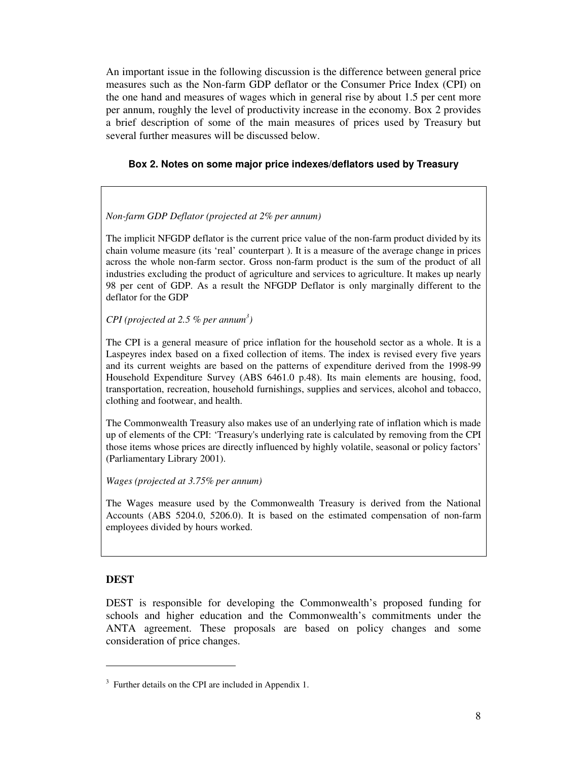An important issue in the following discussion is the difference between general price measures such as the Non-farm GDP deflator or the Consumer Price Index (CPI) on the one hand and measures of wages which in general rise by about 1.5 per cent more per annum, roughly the level of productivity increase in the economy. Box 2 provides a brief description of some of the main measures of prices used by Treasury but several further measures will be discussed below.

## **Box 2. Notes on some major price indexes/deflators used by Treasury**

## *Non-farm GDP Deflator (projected at 2% per annum)*

The implicit NFGDP deflator is the current price value of the non-farm product divided by its chain volume measure (its 'real' counterpart ). It is a measure of the average change in prices across the whole non-farm sector. Gross non-farm product is the sum of the product of all industries excluding the product of agriculture and services to agriculture. It makes up nearly 98 per cent of GDP. As a result the NFGDP Deflator is only marginally different to the deflator for the GDP

*CPI (projected at 2.5 % per annum 3 )*

The CPI is a general measure of price inflation for the household sector as a whole. It is a Laspeyres index based on a fixed collection of items. The index is revised every five years and its current weights are based on the patterns of expenditure derived from the 1998-99 Household Expenditure Survey (ABS 6461.0 p.48). Its main elements are housing, food, transportation, recreation, household furnishings, supplies and services, alcohol and tobacco, clothing and footwear, and health.

The Commonwealth Treasury also makes use of an underlying rate of inflation which is made up of elements of the CPI: 'Treasury's underlying rate is calculated by removing from the CPI those items whose prices are directly influenced by highly volatile, seasonal or policy factors' (Parliamentary Library 2001).

*Wages (projected at 3.75% per annum)*

The Wages measure used by the Commonwealth Treasury is derived from the National Accounts (ABS 5204.0, 5206.0). It is based on the estimated compensation of non-farm employees divided by hours worked.

## **DEST**

DEST is responsible for developing the Commonwealth's proposed funding for schools and higher education and the Commonwealth's commitments under the ANTA agreement. These proposals are based on policy changes and some consideration of price changes.

 $3$  Further details on the CPI are included in Appendix 1.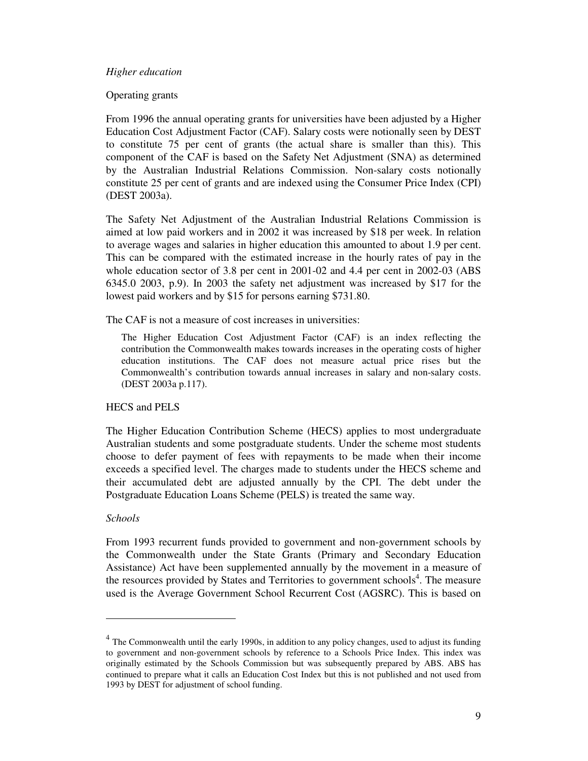#### *Higher education*

#### Operating grants

From 1996 the annual operating grants for universities have been adjusted by a Higher Education Cost Adjustment Factor (CAF). Salary costs were notionally seen by DEST to constitute 75 per cent of grants (the actual share is smaller than this). This component of the CAF is based on the Safety Net Adjustment (SNA) as determined by the Australian Industrial Relations Commission. Non-salary costs notionally constitute 25 per cent of grants and are indexed using the Consumer Price Index (CPI) (DEST 2003a).

The Safety Net Adjustment of the Australian Industrial Relations Commission is aimed at low paid workers and in 2002 it was increased by \$18 per week. In relation to average wages and salaries in higher education this amounted to about 1.9 per cent. This can be compared with the estimated increase in the hourly rates of pay in the whole education sector of 3.8 per cent in 2001-02 and 4.4 per cent in 2002-03 (ABS 6345.0 2003, p.9). In 2003 the safety net adjustment was increased by \$17 for the lowest paid workers and by \$15 for persons earning \$731.80.

#### The CAF is not a measure of cost increases in universities:

The Higher Education Cost Adjustment Factor (CAF) is an index reflecting the contribution the Commonwealth makes towards increases in the operating costs of higher education institutions. The CAF does not measure actual price rises but the Commonwealth's contribution towards annual increases in salary and non-salary costs. (DEST 2003a p.117).

## HECS and PELS

The Higher Education Contribution Scheme (HECS) applies to most undergraduate Australian students and some postgraduate students. Under the scheme most students choose to defer payment of fees with repayments to be made when their income exceeds a specified level. The charges made to students under the HECS scheme and their accumulated debt are adjusted annually by the CPI. The debt under the Postgraduate Education Loans Scheme (PELS) is treated the same way.

## *Schools*

From 1993 recurrent funds provided to government and non-government schools by the Commonwealth under the State Grants (Primary and Secondary Education Assistance) Act have been supplemented annually by the movement in a measure of the resources provided by States and Territories to government schools<sup>4</sup>. The measure used is the Average Government School Recurrent Cost (AGSRC). This is based on

<sup>&</sup>lt;sup>4</sup> The Commonwealth until the early 1990s, in addition to any policy changes, used to adjust its funding to government and non-government schools by reference to a Schools Price Index. This index was originally estimated by the Schools Commission but was subsequently prepared by ABS. ABS has continued to prepare what it calls an Education Cost Index but this is not published and not used from 1993 by DEST for adjustment of school funding.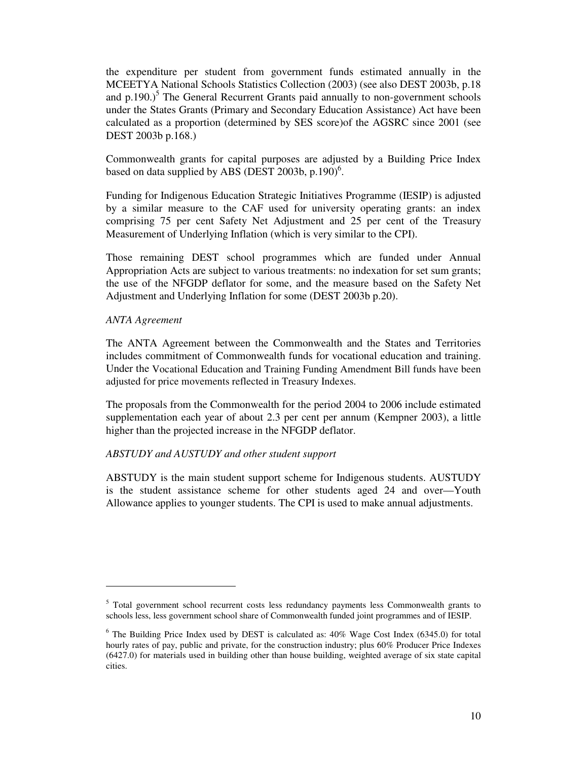the expenditure per student from government funds estimated annually in the MCEETYA National Schools Statistics Collection (2003) (see also DEST 2003b, p.18 and  $p.190$ .)<sup>5</sup> The General Recurrent Grants paid annually to non-government schools under the States Grants (Primary and Secondary Education Assistance) Act have been calculated as a proportion (determined by SES score)of the AGSRC since 2001 (see DEST 2003b p.168.)

Commonwealth grants for capital purposes are adjusted by a Building Price Index based on data supplied by ABS (DEST 2003b, p.190)<sup>6</sup>.

Funding for Indigenous Education Strategic Initiatives Programme (IESIP) is adjusted by a similar measure to the CAF used for university operating grants: an index comprising 75 per cent Safety Net Adjustment and 25 per cent of the Treasury Measurement of Underlying Inflation (which is very similar to the CPI).

Those remaining DEST school programmes which are funded under Annual Appropriation Acts are subject to various treatments: no indexation for set sum grants; the use of the NFGDP deflator for some, and the measure based on the Safety Net Adjustment and Underlying Inflation for some (DEST 2003b p.20).

#### *ANTA Agreement*

The ANTA Agreement between the Commonwealth and the States and Territories includes commitment of Commonwealth funds for vocational education and training. Under the Vocational Education and Training Funding Amendment Bill funds have been adjusted for price movements reflected in Treasury Indexes.

The proposals from the Commonwealth for the period 2004 to 2006 include estimated supplementation each year of about 2.3 per cent per annum (Kempner 2003), a little higher than the projected increase in the NFGDP deflator.

#### *ABSTUDY and AUSTUDY and other student support*

ABSTUDY is the main student support scheme for Indigenous students. AUSTUDY is the student assistance scheme for other students aged 24 and over—Youth Allowance applies to younger students. The CPI is used to make annual adjustments.

<sup>&</sup>lt;sup>5</sup> Total government school recurrent costs less redundancy payments less Commonwealth grants to schools less, less government school share of Commonwealth funded joint programmes and of IESIP.

<sup>&</sup>lt;sup>6</sup> The Building Price Index used by DEST is calculated as: 40% Wage Cost Index (6345.0) for total hourly rates of pay, public and private, for the construction industry; plus 60% Producer Price Indexes (6427.0) for materials used in building other than house building, weighted average of six state capital cities.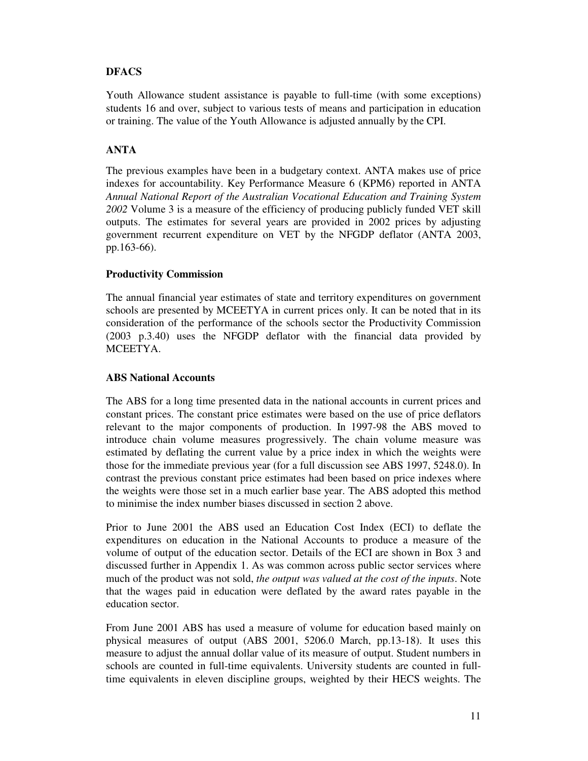# **DFACS**

Youth Allowance student assistance is payable to full-time (with some exceptions) students 16 and over, subject to various tests of means and participation in education or training. The value of the Youth Allowance is adjusted annually by the CPI.

# **ANTA**

The previous examples have been in a budgetary context. ANTA makes use of price indexes for accountability. Key Performance Measure 6 (KPM6) reported in ANTA *Annual National Report of the Australian Vocational Education and Training System 2002* Volume 3 is a measure of the efficiency of producing publicly funded VET skill outputs. The estimates for several years are provided in 2002 prices by adjusting government recurrent expenditure on VET by the NFGDP deflator (ANTA 2003, pp.163-66).

## **Productivity Commission**

The annual financial year estimates of state and territory expenditures on government schools are presented by MCEETYA in current prices only. It can be noted that in its consideration of the performance of the schools sector the Productivity Commission (2003 p.3.40) uses the NFGDP deflator with the financial data provided by MCEETYA.

## **ABS National Accounts**

The ABS for a long time presented data in the national accounts in current prices and constant prices. The constant price estimates were based on the use of price deflators relevant to the major components of production. In 1997-98 the ABS moved to introduce chain volume measures progressively. The chain volume measure was estimated by deflating the current value by a price index in which the weights were those for the immediate previous year (for a full discussion see ABS 1997, 5248.0). In contrast the previous constant price estimates had been based on price indexes where the weights were those set in a much earlier base year. The ABS adopted this method to minimise the index number biases discussed in section 2 above.

Prior to June 2001 the ABS used an Education Cost Index (ECI) to deflate the expenditures on education in the National Accounts to produce a measure of the volume of output of the education sector. Details of the ECI are shown in Box 3 and discussed further in Appendix 1. As was common across public sector services where much of the product was not sold, *the output was valued at the cost of the inputs*. Note that the wages paid in education were deflated by the award rates payable in the education sector.

From June 2001 ABS has used a measure of volume for education based mainly on physical measures of output (ABS 2001, 5206.0 March, pp.13-18). It uses this measure to adjust the annual dollar value of its measure of output. Student numbers in schools are counted in full-time equivalents. University students are counted in fulltime equivalents in eleven discipline groups, weighted by their HECS weights. The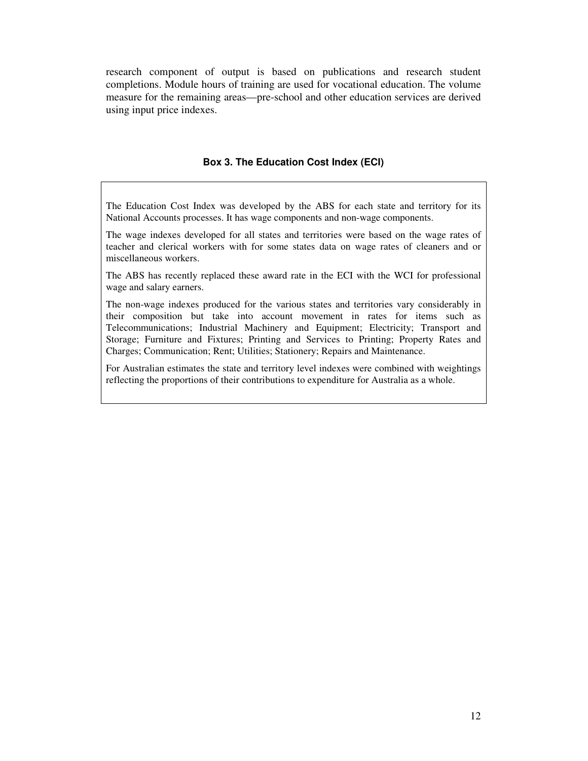research component of output is based on publications and research student completions. Module hours of training are used for vocational education. The volume measure for the remaining areas—pre-school and other education services are derived using input price indexes.

#### **Box 3. The Education Cost Index (ECI)**

The Education Cost Index was developed by the ABS for each state and territory for its National Accounts processes. It has wage components and non-wage components.

The wage indexes developed for all states and territories were based on the wage rates of teacher and clerical workers with for some states data on wage rates of cleaners and or miscellaneous workers.

The ABS has recently replaced these award rate in the ECI with the WCI for professional wage and salary earners.

The non-wage indexes produced for the various states and territories vary considerably in their composition but take into account movement in rates for items such as Telecommunications; Industrial Machinery and Equipment; Electricity; Transport and Storage; Furniture and Fixtures; Printing and Services to Printing; Property Rates and Charges; Communication; Rent; Utilities; Stationery; Repairs and Maintenance.

For Australian estimates the state and territory level indexes were combined with weightings reflecting the proportions of their contributions to expenditure for Australia as a whole.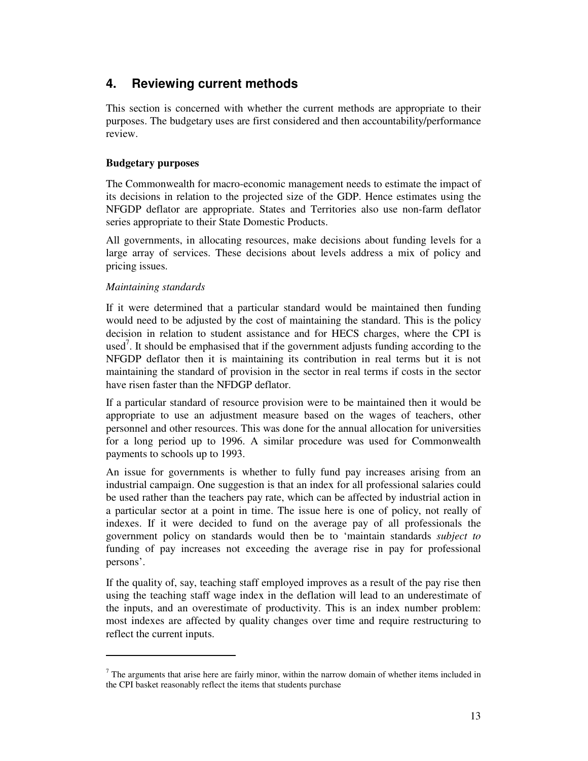# **4. Reviewing current methods**

This section is concerned with whether the current methods are appropriate to their purposes. The budgetary uses are first considered and then accountability/performance review.

## **Budgetary purposes**

The Commonwealth for macro-economic management needs to estimate the impact of its decisions in relation to the projected size of the GDP. Hence estimates using the NFGDP deflator are appropriate. States and Territories also use non-farm deflator series appropriate to their State Domestic Products.

All governments, in allocating resources, make decisions about funding levels for a large array of services. These decisions about levels address a mix of policy and pricing issues.

## *Maintaining standards*

If it were determined that a particular standard would be maintained then funding would need to be adjusted by the cost of maintaining the standard. This is the policy decision in relation to student assistance and for HECS charges, where the CPI is used<sup>7</sup>. It should be emphasised that if the government adjusts funding according to the NFGDP deflator then it is maintaining its contribution in real terms but it is not maintaining the standard of provision in the sector in real terms if costs in the sector have risen faster than the NFDGP deflator.

If a particular standard of resource provision were to be maintained then it would be appropriate to use an adjustment measure based on the wages of teachers, other personnel and other resources. This was done for the annual allocation for universities for a long period up to 1996. A similar procedure was used for Commonwealth payments to schools up to 1993.

An issue for governments is whether to fully fund pay increases arising from an industrial campaign. One suggestion is that an index for all professional salaries could be used rather than the teachers pay rate, which can be affected by industrial action in a particular sector at a point in time. The issue here is one of policy, not really of indexes. If it were decided to fund on the average pay of all professionals the government policy on standards would then be to 'maintain standards *subject to* funding of pay increases not exceeding the average rise in pay for professional persons'.

If the quality of, say, teaching staff employed improves as a result of the pay rise then using the teaching staff wage index in the deflation will lead to an underestimate of the inputs, and an overestimate of productivity. This is an index number problem: most indexes are affected by quality changes over time and require restructuring to reflect the current inputs.

 $<sup>7</sup>$  The arguments that arise here are fairly minor, within the narrow domain of whether items included in</sup> the CPI basket reasonably reflect the items that students purchase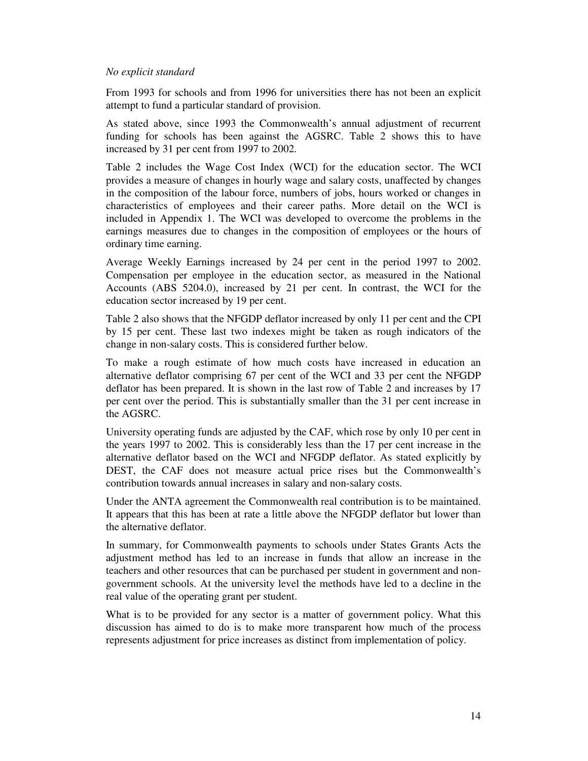#### *No explicit standard*

From 1993 for schools and from 1996 for universities there has not been an explicit attempt to fund a particular standard of provision.

As stated above, since 1993 the Commonwealth's annual adjustment of recurrent funding for schools has been against the AGSRC. Table 2 shows this to have increased by 31 per cent from 1997 to 2002.

Table 2 includes the Wage Cost Index (WCI) for the education sector. The WCI provides a measure of changes in hourly wage and salary costs, unaffected by changes in the composition of the labour force, numbers of jobs, hours worked or changes in characteristics of employees and their career paths. More detail on the WCI is included in Appendix 1. The WCI was developed to overcome the problems in the earnings measures due to changes in the composition of employees or the hours of ordinary time earning.

Average Weekly Earnings increased by 24 per cent in the period 1997 to 2002. Compensation per employee in the education sector, as measured in the National Accounts (ABS 5204.0), increased by 21 per cent. In contrast, the WCI for the education sector increased by 19 per cent.

Table 2 also shows that the NFGDP deflator increased by only 11 per cent and the CPI by 15 per cent. These last two indexes might be taken as rough indicators of the change in non-salary costs. This is considered further below.

To make a rough estimate of how much costs have increased in education an alternative deflator comprising 67 per cent of the WCI and 33 per cent the NFGDP deflator has been prepared. It is shown in the last row of Table 2 and increases by 17 per cent over the period. This is substantially smaller than the 31 per cent increase in the AGSRC.

University operating funds are adjusted by the CAF, which rose by only 10 per cent in the years 1997 to 2002. This is considerably less than the 17 per cent increase in the alternative deflator based on the WCI and NFGDP deflator. As stated explicitly by DEST, the CAF does not measure actual price rises but the Commonwealth's contribution towards annual increases in salary and non-salary costs.

Under the ANTA agreement the Commonwealth real contribution is to be maintained. It appears that this has been at rate a little above the NFGDP deflator but lower than the alternative deflator.

In summary, for Commonwealth payments to schools under States Grants Acts the adjustment method has led to an increase in funds that allow an increase in the teachers and other resources that can be purchased per student in government and nongovernment schools. At the university level the methods have led to a decline in the real value of the operating grant per student.

What is to be provided for any sector is a matter of government policy. What this discussion has aimed to do is to make more transparent how much of the process represents adjustment for price increases as distinct from implementation of policy.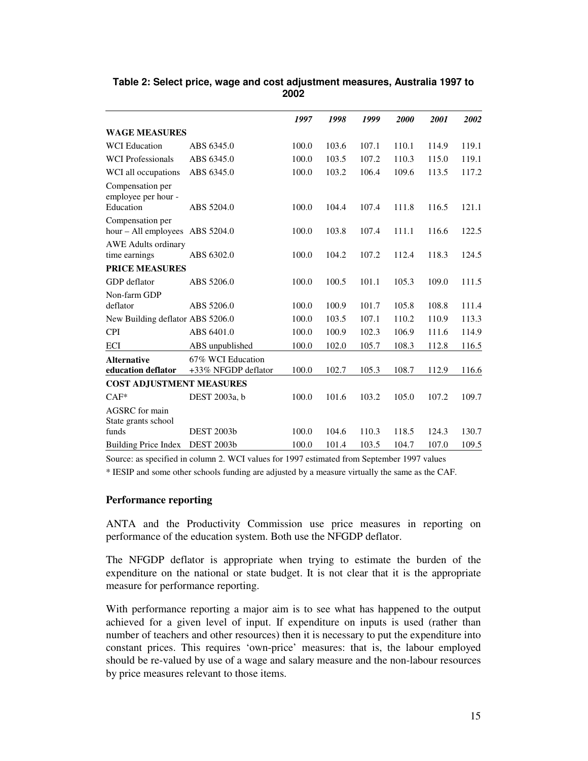|                                              |                                          | 1997  | 1998  | 1999  | 2000  | 2001  | 2002  |
|----------------------------------------------|------------------------------------------|-------|-------|-------|-------|-------|-------|
| <b>WAGE MEASURES</b>                         |                                          |       |       |       |       |       |       |
| <b>WCI</b> Education                         | ABS 6345.0                               | 100.0 | 103.6 | 107.1 | 110.1 | 114.9 | 119.1 |
| <b>WCI</b> Professionals                     | ABS 6345.0                               | 100.0 | 103.5 | 107.2 | 110.3 | 115.0 | 119.1 |
| WCI all occupations                          | ABS 6345.0                               | 100.0 | 103.2 | 106.4 | 109.6 | 113.5 | 117.2 |
| Compensation per<br>employee per hour -      |                                          |       |       |       |       |       |       |
| Education                                    | ABS 5204.0                               | 100.0 | 104.4 | 107.4 | 111.8 | 116.5 | 121.1 |
| Compensation per<br>$hour - All employees$   | ABS 5204.0                               | 100.0 | 103.8 | 107.4 | 111.1 | 116.6 | 122.5 |
| <b>AWE</b> Adults ordinary<br>time earnings  | ABS 6302.0                               | 100.0 | 104.2 | 107.2 | 112.4 | 118.3 | 124.5 |
| <b>PRICE MEASURES</b>                        |                                          |       |       |       |       |       |       |
| GDP deflator                                 | ABS 5206.0                               | 100.0 | 100.5 | 101.1 | 105.3 | 109.0 | 111.5 |
| Non-farm GDP                                 |                                          |       |       |       |       |       |       |
| deflator                                     | ABS 5206.0                               | 100.0 | 100.9 | 101.7 | 105.8 | 108.8 | 111.4 |
| New Building deflator ABS 5206.0             |                                          | 100.0 | 103.5 | 107.1 | 110.2 | 110.9 | 113.3 |
| <b>CPI</b>                                   | ABS 6401.0                               | 100.0 | 100.9 | 102.3 | 106.9 | 111.6 | 114.9 |
| <b>ECI</b>                                   | ABS unpublished                          | 100.0 | 102.0 | 105.7 | 108.3 | 112.8 | 116.5 |
| <b>Alternative</b><br>education deflator     | 67% WCI Education<br>+33% NFGDP deflator | 100.0 | 102.7 | 105.3 | 108.7 | 112.9 | 116.6 |
| <b>COST ADJUSTMENT MEASURES</b>              |                                          |       |       |       |       |       |       |
| $CAF*$                                       | DEST 2003a, b                            | 100.0 | 101.6 | 103.2 | 105.0 | 107.2 | 109.7 |
| <b>AGSRC</b> for main<br>State grants school |                                          |       |       |       |       |       |       |
| funds                                        | <b>DEST 2003b</b>                        | 100.0 | 104.6 | 110.3 | 118.5 | 124.3 | 130.7 |
| <b>Building Price Index</b>                  | <b>DEST 2003b</b>                        | 100.0 | 101.4 | 103.5 | 104.7 | 107.0 | 109.5 |

# **Table 2: Select price, wage and cost adjustment measures, Australia 1997 to 2002**

Source: as specified in column 2. WCI values for 1997 estimated from September 1997 values

\* IESIP and some other schools funding are adjusted by a measure virtually the same as the CAF.

## **Performance reporting**

ANTA and the Productivity Commission use price measures in reporting on performance of the education system. Both use the NFGDP deflator.

The NFGDP deflator is appropriate when trying to estimate the burden of the expenditure on the national or state budget. It is not clear that it is the appropriate measure for performance reporting.

With performance reporting a major aim is to see what has happened to the output achieved for a given level of input. If expenditure on inputs is used (rather than number of teachers and other resources) then it is necessary to put the expenditure into constant prices. This requires 'own-price' measures: that is, the labour employed should be re-valued by use of a wage and salary measure and the non-labour resources by price measures relevant to those items.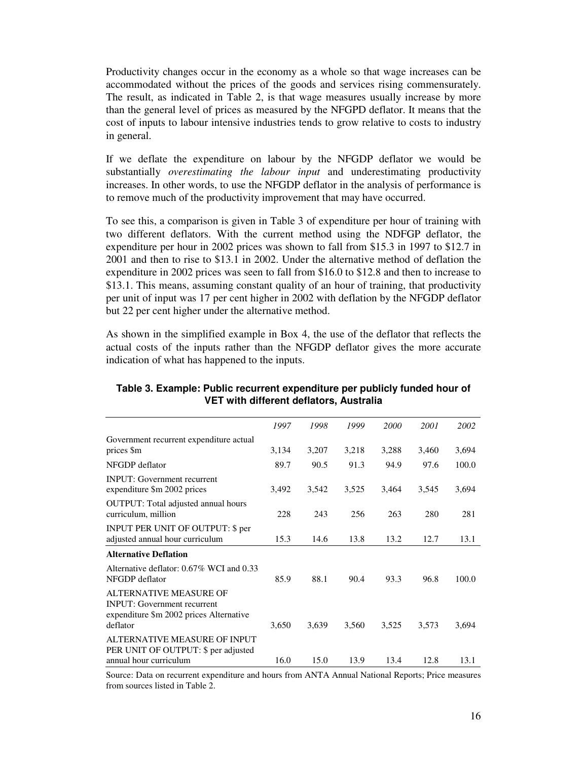Productivity changes occur in the economy as a whole so that wage increases can be accommodated without the prices of the goods and services rising commensurately. The result, as indicated in Table 2, is that wage measures usually increase by more than the general level of prices as measured by the NFGPD deflator. It means that the cost of inputs to labour intensive industries tends to grow relative to costs to industry in general.

If we deflate the expenditure on labour by the NFGDP deflator we would be substantially *overestimating the labour input* and underestimating productivity increases. In other words, to use the NFGDP deflator in the analysis of performance is to remove much of the productivity improvement that may have occurred.

To see this, a comparison is given in Table 3 of expenditure per hour of training with two different deflators. With the current method using the NDFGP deflator, the expenditure per hour in 2002 prices was shown to fall from \$15.3 in 1997 to \$12.7 in 2001 and then to rise to \$13.1 in 2002. Under the alternative method of deflation the expenditure in 2002 prices was seen to fall from \$16.0 to \$12.8 and then to increase to \$13.1. This means, assuming constant quality of an hour of training, that productivity per unit of input was 17 per cent higher in 2002 with deflation by the NFGDP deflator but 22 per cent higher under the alternative method.

As shown in the simplified example in Box 4, the use of the deflator that reflects the actual costs of the inputs rather than the NFGDP deflator gives the more accurate indication of what has happened to the inputs.

| 1997  | 1998  | 1999  | 2000  | 2001  | 2002  |
|-------|-------|-------|-------|-------|-------|
| 3,134 | 3,207 | 3,218 | 3,288 | 3,460 | 3,694 |
| 89.7  | 90.5  | 91.3  | 94.9  | 97.6  | 100.0 |
| 3,492 | 3,542 | 3,525 | 3,464 | 3,545 | 3,694 |
| 228   | 243   | 256   | 263   | 280   | 281   |
| 15.3  | 14.6  | 13.8  | 13.2  | 12.7  | 13.1  |
|       |       |       |       |       |       |
| 85.9  | 88.1  | 90.4  | 93.3  | 96.8  | 100.0 |
| 3,650 | 3,639 | 3,560 | 3,525 | 3,573 | 3,694 |
| 16.0  | 15.0  | 13.9  | 13.4  | 12.8  | 13.1  |
|       |       |       |       |       |       |

## **Table 3. Example: Public recurrent expenditure per publicly funded hour of VET with different deflators, Australia**

Source: Data on recurrent expenditure and hours from ANTA Annual National Reports; Price measures from sources listed in Table 2.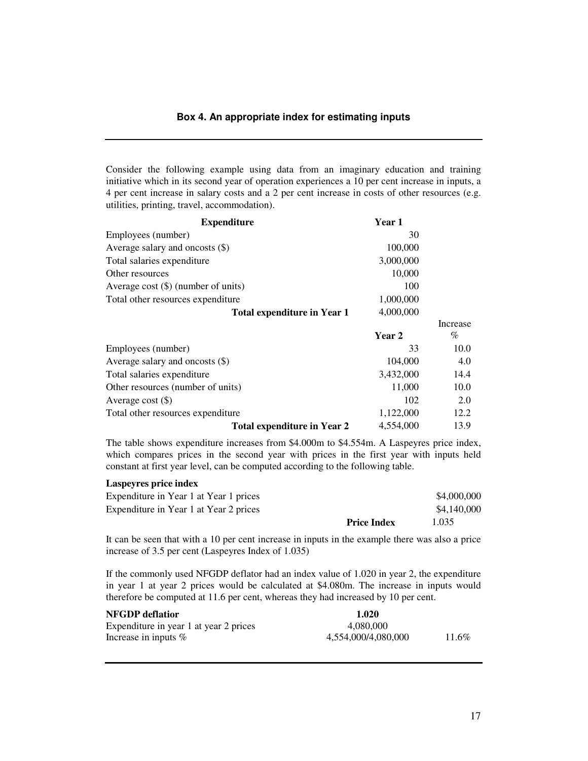#### **Box 4. An appropriate index for estimating inputs**

Consider the following example using data from an imaginary education and training initiative which in its second year of operation experiences a 10 per cent increase in inputs, a 4 per cent increase in salary costs and a 2 per cent increase in costs of other resources (e.g. utilities, printing, travel, accommodation).

| <b>Expenditure</b>                    | Year 1        |          |
|---------------------------------------|---------------|----------|
| Employees (number)                    | 30            |          |
| Average salary and oncosts $(\$)$     | 100,000       |          |
| Total salaries expenditure            | 3,000,000     |          |
| Other resources                       | 10,000        |          |
| Average cost $(\$)$ (number of units) | 100           |          |
| Total other resources expenditure     | 1,000,000     |          |
| <b>Total expenditure in Year 1</b>    | 4,000,000     |          |
|                                       |               | Increase |
|                                       | <b>Year 2</b> | $\%$     |
| Employees (number)                    | 33            | 10.0     |
| Average salary and oncosts $(\$)$     | 104,000       | 4.0      |
| Total salaries expenditure            | 3,432,000     | 14.4     |
| Other resources (number of units)     | 11,000        | 10.0     |
| Average cost $(\$)$                   | 102           | 2.0      |
| Total other resources expenditure     | 1,122,000     | 12.2     |
| <b>Total expenditure in Year 2</b>    | 4,554,000     | 13.9     |

The table shows expenditure increases from \$4.000m to \$4.554m. A Laspeyres price index, which compares prices in the second year with prices in the first year with inputs held constant at first year level, can be computed according to the following table.

#### **Laspeyres price index**

|                                        | <b>Price Index</b> | 1.035       |
|----------------------------------------|--------------------|-------------|
| Expenditure in Year 1 at Year 2 prices |                    | \$4,140,000 |
| Expenditure in Year 1 at Year 1 prices |                    | \$4,000,000 |

It can be seen that with a 10 per cent increase in inputs in the example there was also a price increase of 3.5 per cent (Laspeyres Index of 1.035)

If the commonly used NFGDP deflator had an index value of 1.020 in year 2, the expenditure in year 1 at year 2 prices would be calculated at \$4.080m. The increase in inputs would therefore be computed at 11.6 per cent, whereas they had increased by 10 per cent.

| <b>NFGDP</b> deflatior                 | 1.020               |       |
|----------------------------------------|---------------------|-------|
| Expenditure in year 1 at year 2 prices | 4.080.000           |       |
| Increase in inputs $%$                 | 4,554,000/4,080,000 | 11.6% |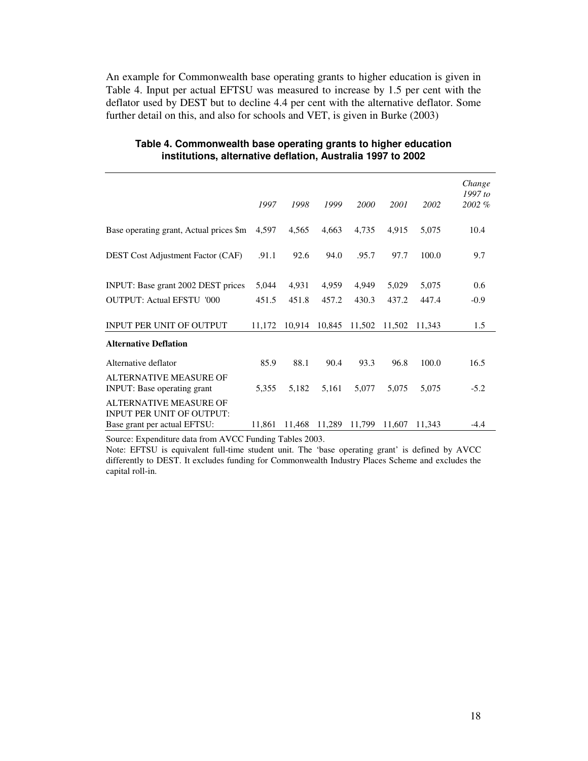An example for Commonwealth base operating grants to higher education is given in Table 4. Input per actual EFTSU was measured to increase by 1.5 per cent with the deflator used by DEST but to decline 4.4 per cent with the alternative deflator. Some further detail on this, and also for schools and VET, is given in Burke (2003)

|                                                              | 1997   | 1998   | 1999   | 2000   | 2001   | 2002   | Change<br>1997 to<br>2002% |
|--------------------------------------------------------------|--------|--------|--------|--------|--------|--------|----------------------------|
| Base operating grant, Actual prices \$m                      | 4,597  | 4,565  | 4,663  | 4,735  | 4,915  | 5,075  | 10.4                       |
| <b>DEST</b> Cost Adjustment Factor (CAF)                     | .91.1  | 92.6   | 94.0   | .95.7  | 97.7   | 100.0  | 9.7                        |
| INPUT: Base grant 2002 DEST prices                           | 5,044  | 4,931  | 4,959  | 4,949  | 5,029  | 5,075  | 0.6                        |
| <b>OUTPUT: Actual EFSTU '000</b>                             | 451.5  | 451.8  | 457.2  | 430.3  | 437.2  | 447.4  | $-0.9$                     |
| <b>INPUT PER UNIT OF OUTPUT</b>                              | 11,172 | 10,914 | 10,845 | 11,502 | 11,502 | 11.343 | 1.5                        |
| <b>Alternative Deflation</b>                                 |        |        |        |        |        |        |                            |
| Alternative deflator                                         | 85.9   | 88.1   | 90.4   | 93.3   | 96.8   | 100.0  | 16.5                       |
| <b>ALTERNATIVE MEASURE OF</b><br>INPUT: Base operating grant | 5,355  | 5,182  | 5,161  | 5,077  | 5.075  | 5.075  | $-5.2$                     |
| ALTERNATIVE MEASURE OF<br><b>INPUT PER UNIT OF OUTPUT:</b>   |        |        |        |        |        |        |                            |
| Base grant per actual EFTSU:                                 | 11,861 | 11,468 | 11,289 | 11,799 | 11,607 | 11,343 | $-4.4$                     |

#### **Table 4. Commonwealth base operating grants to higher education institutions, alternative deflation, Australia 1997 to 2002**

Source: Expenditure data from AVCC Funding Tables 2003.

Note: EFTSU is equivalent full-time student unit. The 'base operating grant' is defined by AVCC differently to DEST. It excludes funding for Commonwealth Industry Places Scheme and excludes the capital roll-in.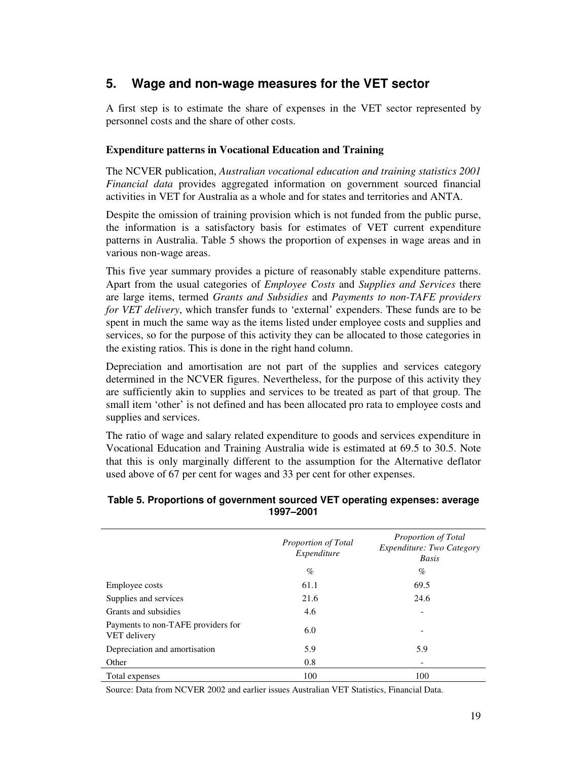# **5. Wage and non-wage measures for the VET sector**

A first step is to estimate the share of expenses in the VET sector represented by personnel costs and the share of other costs.

# **Expenditure patterns in Vocational Education and Training**

The NCVER publication, *Australian vocational education and training statistics 2001 Financial data* provides aggregated information on government sourced financial activities in VET for Australia as a whole and for states and territories and ANTA.

Despite the omission of training provision which is not funded from the public purse, the information is a satisfactory basis for estimates of VET current expenditure patterns in Australia. Table 5 shows the proportion of expenses in wage areas and in various non-wage areas.

This five year summary provides a picture of reasonably stable expenditure patterns. Apart from the usual categories of *Employee Costs* and *Supplies and Services* there are large items, termed *Grants and Subsidies* and *Payments to non-TAFE providers for VET delivery*, which transfer funds to 'external' expenders. These funds are to be spent in much the same way as the items listed under employee costs and supplies and services, so for the purpose of this activity they can be allocated to those categories in the existing ratios. This is done in the right hand column.

Depreciation and amortisation are not part of the supplies and services category determined in the NCVER figures. Nevertheless, for the purpose of this activity they are sufficiently akin to supplies and services to be treated as part of that group. The small item 'other' is not defined and has been allocated pro rata to employee costs and supplies and services.

The ratio of wage and salary related expenditure to goods and services expenditure in Vocational Education and Training Australia wide is estimated at 69.5 to 30.5. Note that this is only marginally different to the assumption for the Alternative deflator used above of 67 per cent for wages and 33 per cent for other expenses.

## **Table 5. Proportions of government sourced VET operating expenses: average 1997–2001**

|                                                    | Proportion of Total<br>Expenditure |      |
|----------------------------------------------------|------------------------------------|------|
|                                                    | $\%$                               | $\%$ |
| Employee costs                                     | 61.1                               | 69.5 |
| Supplies and services                              | 21.6                               | 24.6 |
| Grants and subsidies                               | 4.6                                | ۰    |
| Payments to non-TAFE providers for<br>VET delivery | 6.0                                |      |
| Depreciation and amortisation                      | 5.9                                | 5.9  |
| Other                                              | 0.8                                |      |
| Total expenses                                     | 100                                | 100  |

Source: Data from NCVER 2002 and earlier issues Australian VET Statistics, Financial Data.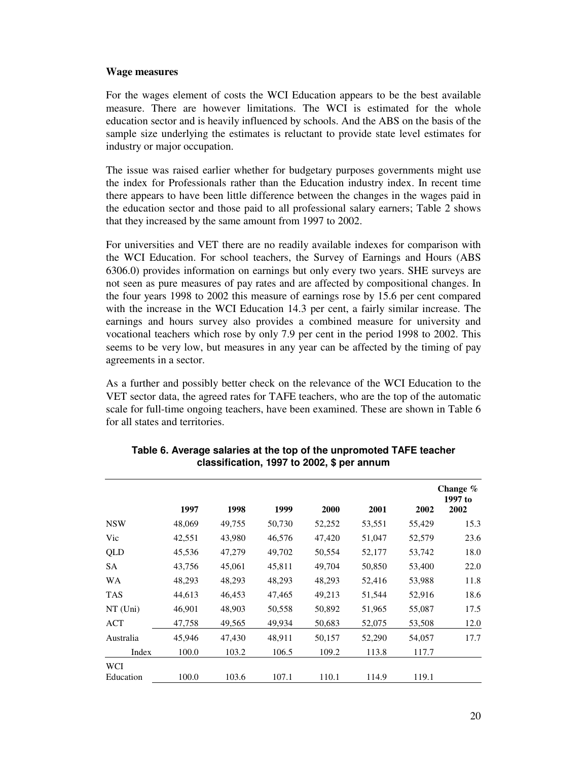#### **Wage measures**

For the wages element of costs the WCI Education appears to be the best available measure. There are however limitations. The WCI is estimated for the whole education sector and is heavily influenced by schools. And the ABS on the basis of the sample size underlying the estimates is reluctant to provide state level estimates for industry or major occupation.

The issue was raised earlier whether for budgetary purposes governments might use the index for Professionals rather than the Education industry index. In recent time there appears to have been little difference between the changes in the wages paid in the education sector and those paid to all professional salary earners; Table 2 shows that they increased by the same amount from 1997 to 2002.

For universities and VET there are no readily available indexes for comparison with the WCI Education. For school teachers, the Survey of Earnings and Hours (ABS 6306.0) provides information on earnings but only every two years. SHE surveys are not seen as pure measures of pay rates and are affected by compositional changes. In the four years 1998 to 2002 this measure of earnings rose by 15.6 per cent compared with the increase in the WCI Education 14.3 per cent, a fairly similar increase. The earnings and hours survey also provides a combined measure for university and vocational teachers which rose by only 7.9 per cent in the period 1998 to 2002. This seems to be very low, but measures in any year can be affected by the timing of pay agreements in a sector.

As a further and possibly better check on the relevance of the WCI Education to the VET sector data, the agreed rates for TAFE teachers, who are the top of the automatic scale for full-time ongoing teachers, have been examined. These are shown in Table 6 for all states and territories.

|            | 1997   | 1998   | 1999   | 2000   | 2001   | 2002   | Change $\%$<br>1997 to<br>2002 |
|------------|--------|--------|--------|--------|--------|--------|--------------------------------|
| <b>NSW</b> | 48,069 | 49,755 | 50,730 | 52,252 | 53,551 | 55,429 | 15.3                           |
| Vic        | 42,551 | 43,980 | 46,576 | 47,420 | 51,047 | 52,579 | 23.6                           |
| QLD        | 45,536 | 47,279 | 49,702 | 50,554 | 52,177 | 53,742 | 18.0                           |
| SA         | 43,756 | 45,061 | 45,811 | 49,704 | 50,850 | 53,400 | 22.0                           |
| WA         | 48,293 | 48,293 | 48,293 | 48,293 | 52,416 | 53,988 | 11.8                           |
| <b>TAS</b> | 44,613 | 46,453 | 47,465 | 49,213 | 51,544 | 52,916 | 18.6                           |
| $NT$ (Uni) | 46,901 | 48,903 | 50,558 | 50,892 | 51,965 | 55,087 | 17.5                           |
| ACT        | 47,758 | 49,565 | 49,934 | 50,683 | 52,075 | 53,508 | 12.0                           |
| Australia  | 45.946 | 47.430 | 48,911 | 50,157 | 52,290 | 54,057 | 17.7                           |
| Index      | 100.0  | 103.2  | 106.5  | 109.2  | 113.8  | 117.7  |                                |
| <b>WCI</b> |        |        |        |        |        |        |                                |
| Education  | 100.0  | 103.6  | 107.1  | 110.1  | 114.9  | 119.1  |                                |

| Table 6. Average salaries at the top of the unpromoted TAFE teacher |
|---------------------------------------------------------------------|
| classification, 1997 to 2002, \$ per annum                          |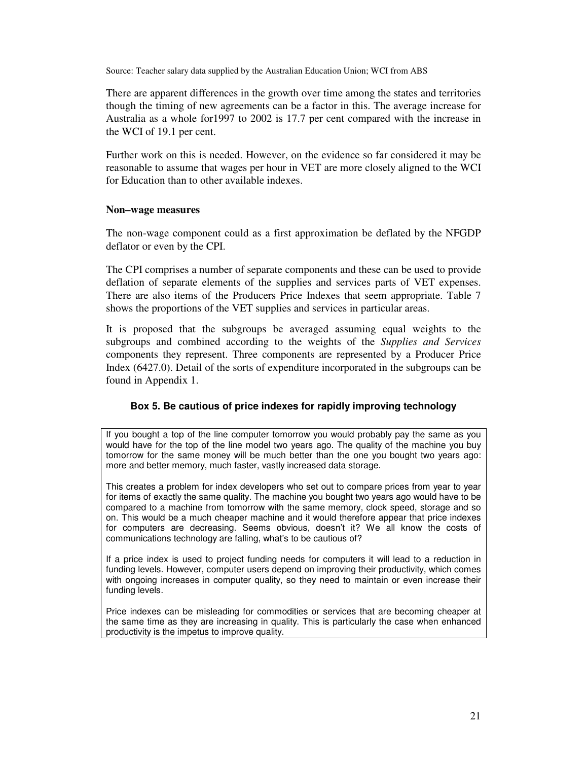Source: Teacher salary data supplied by the Australian Education Union; WCI from ABS

There are apparent differences in the growth over time among the states and territories though the timing of new agreements can be a factor in this. The average increase for Australia as a whole for1997 to 2002 is 17.7 per cent compared with the increase in the WCI of 19.1 per cent.

Further work on this is needed. However, on the evidence so far considered it may be reasonable to assume that wages per hour in VET are more closely aligned to the WCI for Education than to other available indexes.

#### **Non–wage measures**

The non-wage component could as a first approximation be deflated by the NFGDP deflator or even by the CPI.

The CPI comprises a number of separate components and these can be used to provide deflation of separate elements of the supplies and services parts of VET expenses. There are also items of the Producers Price Indexes that seem appropriate. Table 7 shows the proportions of the VET supplies and services in particular areas.

It is proposed that the subgroups be averaged assuming equal weights to the subgroups and combined according to the weights of the *Supplies and Services* components they represent. Three components are represented by a Producer Price Index (6427.0). Detail of the sorts of expenditure incorporated in the subgroups can be found in Appendix 1.

## **Box 5. Be cautious of price indexes for rapidly improving technology**

If you bought a top of the line computer tomorrow you would probably pay the same as you would have for the top of the line model two years ago. The quality of the machine you buy tomorrow for the same money will be much better than the one you bought two years ago: more and better memory, much faster, vastly increased data storage.

This creates a problem for index developers who set out to compare prices from year to year for items of exactly the same quality. The machine you bought two years ago would have to be compared to a machine from tomorrow with the same memory, clock speed, storage and so on. This would be a much cheaper machine and it would therefore appear that price indexes for computers are decreasing. Seems obvious, doesn't it? We all know the costs of communications technology are falling, what's to be cautious of?

If a price index is used to project funding needs for computers it will lead to a reduction in funding levels. However, computer users depend on improving their productivity, which comes with ongoing increases in computer quality, so they need to maintain or even increase their funding levels.

Price indexes can be misleading for commodities or services that are becoming cheaper at the same time as they are increasing in quality. This is particularly the case when enhanced productivity is the impetus to improve quality.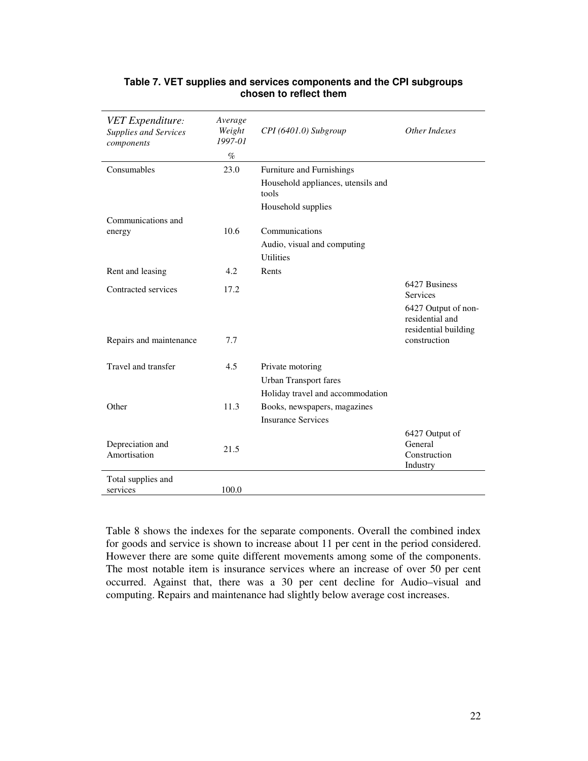| <b>VET Expenditure:</b><br><b>Supplies and Services</b><br>components | Average<br>Weight<br>1997-01 | CPI (6401.0) Subgroup                       | Other Indexes                                                  |
|-----------------------------------------------------------------------|------------------------------|---------------------------------------------|----------------------------------------------------------------|
|                                                                       | $\%$                         |                                             |                                                                |
| Consumables                                                           | 23.0                         | Furniture and Furnishings                   |                                                                |
|                                                                       |                              | Household appliances, utensils and<br>tools |                                                                |
|                                                                       |                              | Household supplies                          |                                                                |
| Communications and                                                    |                              |                                             |                                                                |
| energy                                                                | 10.6                         | Communications                              |                                                                |
|                                                                       |                              | Audio, visual and computing                 |                                                                |
|                                                                       |                              | <b>Utilities</b>                            |                                                                |
| Rent and leasing                                                      | 4.2                          | Rents                                       |                                                                |
| Contracted services                                                   | 17.2                         |                                             | 6427 Business                                                  |
|                                                                       |                              |                                             | <b>Services</b>                                                |
|                                                                       |                              |                                             | 6427 Output of non-<br>residential and<br>residential building |
| Repairs and maintenance                                               | 7.7                          |                                             | construction                                                   |
| Travel and transfer                                                   | 4.5                          | Private motoring                            |                                                                |
|                                                                       |                              | <b>Urban Transport fares</b>                |                                                                |
|                                                                       |                              | Holiday travel and accommodation            |                                                                |
| Other                                                                 | 11.3                         | Books, newspapers, magazines                |                                                                |
|                                                                       |                              | <b>Insurance Services</b>                   |                                                                |
|                                                                       |                              |                                             | 6427 Output of                                                 |
| Depreciation and                                                      | 21.5                         |                                             | General                                                        |
| Amortisation                                                          |                              |                                             | Construction                                                   |
|                                                                       |                              |                                             | Industry                                                       |
| Total supplies and                                                    |                              |                                             |                                                                |
| services                                                              | 100.0                        |                                             |                                                                |

## **Table 7. VET supplies and services components and the CPI subgroups chosen to reflect them**

Table 8 shows the indexes for the separate components. Overall the combined index for goods and service is shown to increase about 11 per cent in the period considered. However there are some quite different movements among some of the components. The most notable item is insurance services where an increase of over 50 per cent occurred. Against that, there was a 30 per cent decline for Audio–visual and computing. Repairs and maintenance had slightly below average cost increases.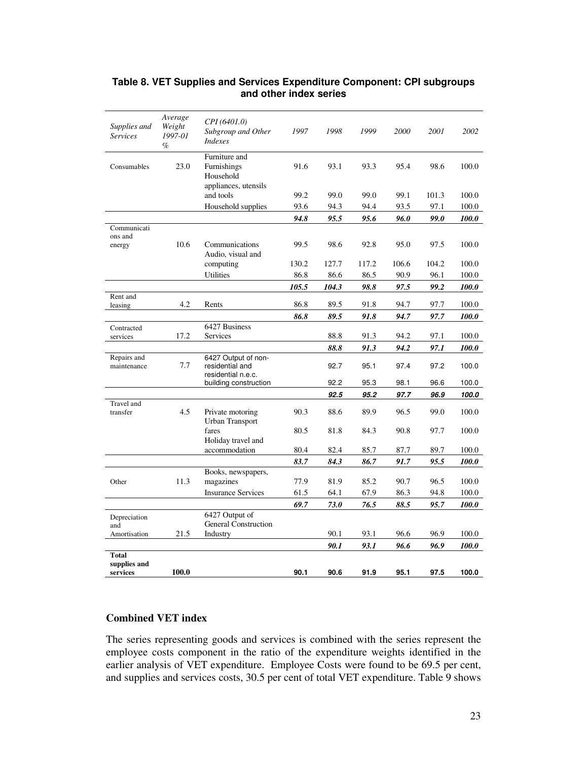| Supplies and<br><b>Services</b> | Average<br>Weight<br>1997-01<br>$\%$ | CPI (6401.0)<br>Subgroup and Other<br><b>Indexes</b>         | 1997  | 1998  | 1999  | <i>2000</i> | 2001  | 2002      |
|---------------------------------|--------------------------------------|--------------------------------------------------------------|-------|-------|-------|-------------|-------|-----------|
| Consumables                     | 23.0                                 | Furniture and<br>Furnishings<br>Household                    | 91.6  | 93.1  | 93.3  | 95.4        | 98.6  | 100.0     |
|                                 |                                      | appliances, utensils<br>and tools                            | 99.2  | 99.0  | 99.0  | 99.1        | 101.3 | 100.0     |
|                                 |                                      | Household supplies                                           | 93.6  | 94.3  | 94.4  | 93.5        | 97.1  | 100.0     |
|                                 |                                      |                                                              | 94.8  | 95.5  | 95.6  | 96.0        | 99.0  | 100.0     |
| Communicati                     |                                      |                                                              |       |       |       |             |       |           |
| ons and<br>energy               | 10.6                                 | Communications<br>Audio, visual and                          | 99.5  | 98.6  | 92.8  | 95.0        | 97.5  | 100.0     |
|                                 |                                      | computing                                                    | 130.2 | 127.7 | 117.2 | 106.6       | 104.2 | 100.0     |
|                                 |                                      | Utilities                                                    | 86.8  | 86.6  | 86.5  | 90.9        | 96.1  | $100.0\,$ |
|                                 |                                      |                                                              | 105.5 | 104.3 | 98.8  | 97.5        | 99.2  | 100.0     |
| Rent and<br>leasing             | 4.2                                  | Rents                                                        | 86.8  | 89.5  | 91.8  | 94.7        | 97.7  | 100.0     |
|                                 |                                      |                                                              | 86.8  | 89.5  | 91.8  | 94.7        | 97.7  | 100.0     |
| Contracted                      |                                      | 6427 Business                                                |       |       |       |             |       |           |
| services                        | 17.2                                 | Services                                                     |       | 88.8  | 91.3  | 94.2        | 97.1  | 100.0     |
|                                 |                                      |                                                              |       | 88.8  | 91.3  | 94.2        | 97.1  | 100.0     |
| Repairs and<br>maintenance      | 7.7                                  | 6427 Output of non-<br>residential and<br>residential n.e.c. |       | 92.7  | 95.1  | 97.4        | 97.2  | 100.0     |
|                                 |                                      | building construction                                        |       | 92.2  | 95.3  | 98.1        | 96.6  | 100.0     |
|                                 |                                      |                                                              |       | 92.5  | 95.2  | 97.7        | 96.9  | 100.0     |
| Travel and<br>transfer          | 4.5                                  | Private motoring                                             | 90.3  | 88.6  | 89.9  | 96.5        | 99.0  | 100.0     |
|                                 |                                      | <b>Urban Transport</b><br>fares<br>Holiday travel and        | 80.5  | 81.8  | 84.3  | 90.8        | 97.7  | 100.0     |
|                                 |                                      | accommodation                                                | 80.4  | 82.4  | 85.7  | 87.7        | 89.7  | 100.0     |
|                                 |                                      |                                                              | 83.7  | 84.3  | 86.7  | 91.7        | 95.5  | 100.0     |
|                                 |                                      | Books, newspapers,                                           |       |       |       |             |       |           |
| Other                           | 11.3                                 | magazines                                                    | 77.9  | 81.9  | 85.2  | 90.7        | 96.5  | 100.0     |
|                                 |                                      | <b>Insurance Services</b>                                    | 61.5  | 64.1  | 67.9  | 86.3        | 94.8  | 100.0     |
|                                 |                                      |                                                              | 69.7  | 73.0  | 76.5  | 88.5        | 95.7  | 100.0     |
| Depreciation                    |                                      | 6427 Output of<br><b>General Construction</b>                |       |       |       |             |       |           |
| and<br>Amortisation             | 21.5                                 | Industry                                                     |       | 90.1  | 93.1  | 96.6        | 96.9  | 100.0     |
|                                 |                                      |                                                              |       | 90.1  | 93.1  | 96.6        | 96.9  | 100.0     |
| Total                           |                                      |                                                              |       |       |       |             |       |           |
| supplies and<br>services        | 100.0                                |                                                              | 90.1  | 90.6  | 91.9  | 95.1        | 97.5  | 100.0     |

# **Table 8. VET Supplies and Services Expenditure Component: CPI subgroups and other index series**

# **Combined VET index**

The series representing goods and services is combined with the series represent the employee costs component in the ratio of the expenditure weights identified in the earlier analysis of VET expenditure. Employee Costs were found to be 69.5 per cent, and supplies and services costs, 30.5 per cent of total VET expenditure. Table 9 shows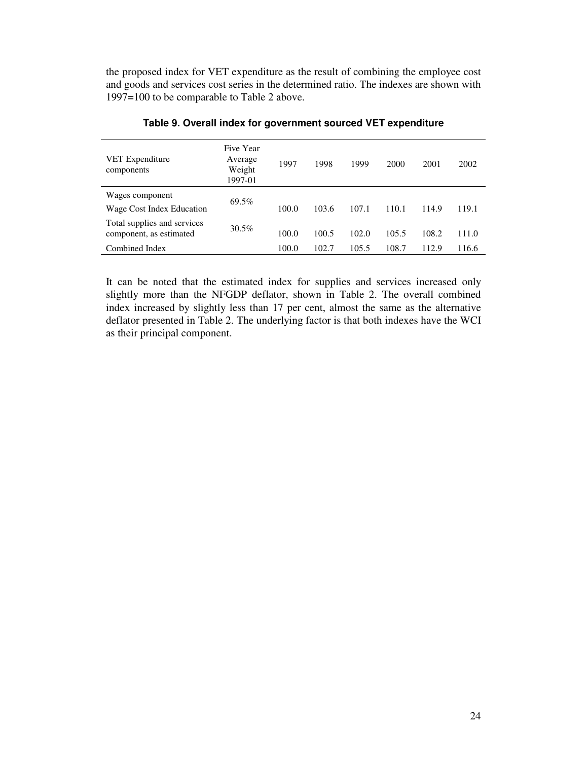the proposed index for VET expenditure as the result of combining the employee cost and goods and services cost series in the determined ratio. The indexes are shown with 1997=100 to be comparable to Table 2 above.

| <b>VET</b> Expenditure<br>components                   | Five Year<br>Average<br>Weight<br>1997-01 | 1997  | 1998  | 1999  | 2000  | 2001  | 2002  |
|--------------------------------------------------------|-------------------------------------------|-------|-------|-------|-------|-------|-------|
| Wages component                                        | 69.5%                                     |       |       |       |       |       |       |
| Wage Cost Index Education                              |                                           | 100.0 | 103.6 | 107.1 | 110.1 | 114.9 | 119.1 |
| Total supplies and services<br>component, as estimated | 30.5%                                     | 100.0 | 100.5 | 102.0 | 105.5 | 108.2 | 111.0 |
| Combined Index                                         |                                           | 100.0 | 102.7 | 105.5 | 108.7 | 112.9 | 116.6 |

#### **Table 9. Overall index for government sourced VET expenditure**

It can be noted that the estimated index for supplies and services increased only slightly more than the NFGDP deflator, shown in Table 2. The overall combined index increased by slightly less than 17 per cent, almost the same as the alternative deflator presented in Table 2. The underlying factor is that both indexes have the WCI as their principal component.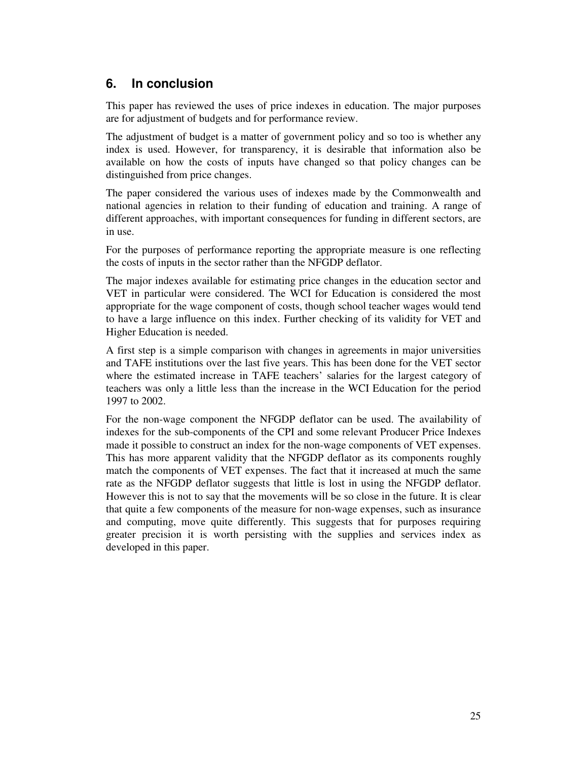# **6. In conclusion**

This paper has reviewed the uses of price indexes in education. The major purposes are for adjustment of budgets and for performance review.

The adjustment of budget is a matter of government policy and so too is whether any index is used. However, for transparency, it is desirable that information also be available on how the costs of inputs have changed so that policy changes can be distinguished from price changes.

The paper considered the various uses of indexes made by the Commonwealth and national agencies in relation to their funding of education and training. A range of different approaches, with important consequences for funding in different sectors, are in use.

For the purposes of performance reporting the appropriate measure is one reflecting the costs of inputs in the sector rather than the NFGDP deflator.

The major indexes available for estimating price changes in the education sector and VET in particular were considered. The WCI for Education is considered the most appropriate for the wage component of costs, though school teacher wages would tend to have a large influence on this index. Further checking of its validity for VET and Higher Education is needed.

A first step is a simple comparison with changes in agreements in major universities and TAFE institutions over the last five years. This has been done for the VET sector where the estimated increase in TAFE teachers' salaries for the largest category of teachers was only a little less than the increase in the WCI Education for the period 1997 to 2002.

For the non-wage component the NFGDP deflator can be used. The availability of indexes for the sub-components of the CPI and some relevant Producer Price Indexes made it possible to construct an index for the non-wage components of VET expenses. This has more apparent validity that the NFGDP deflator as its components roughly match the components of VET expenses. The fact that it increased at much the same rate as the NFGDP deflator suggests that little is lost in using the NFGDP deflator. However this is not to say that the movements will be so close in the future. It is clear that quite a few components of the measure for non-wage expenses, such as insurance and computing, move quite differently. This suggests that for purposes requiring greater precision it is worth persisting with the supplies and services index as developed in this paper.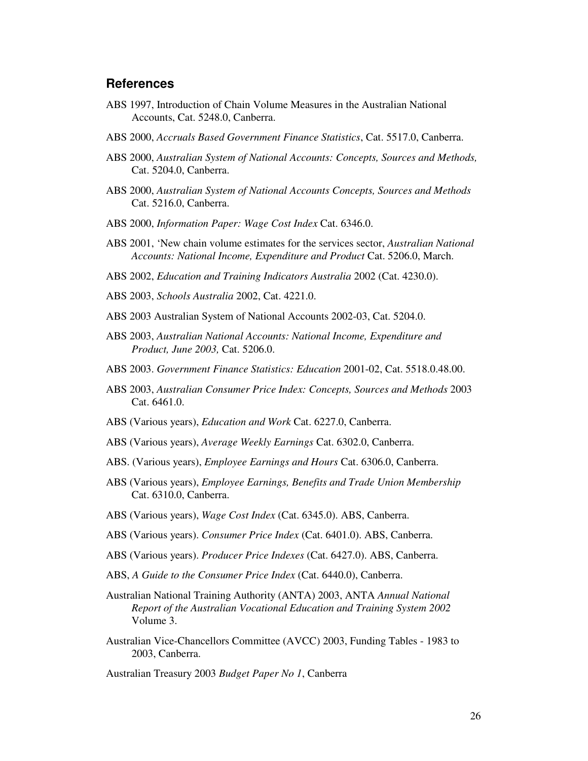## **References**

- ABS 1997, Introduction of Chain Volume Measures in the Australian National Accounts, Cat. 5248.0, Canberra.
- ABS 2000, *Accruals Based Government Finance Statistics*, Cat. 5517.0, Canberra.
- ABS 2000, *Australian System of National Accounts: Concepts, Sources and Methods,* Cat. 5204.0, Canberra.
- ABS 2000, *Australian System of National Accounts Concepts, Sources and Methods* Cat. 5216.0, Canberra.
- ABS 2000, *Information Paper: Wage Cost Index* Cat. 6346.0.
- ABS 2001, 'New chain volume estimates for the services sector, *Australian National Accounts: National Income, Expenditure and Product* Cat. 5206.0, March.
- ABS 2002, *Education and Training Indicators Australia* 2002 (Cat. 4230.0).
- ABS 2003, *Schools Australia* 2002, Cat. 4221.0.
- ABS 2003 Australian System of National Accounts 2002-03, Cat. 5204.0.
- ABS 2003, *Australian National Accounts: National Income, Expenditure and Product, June 2003,* Cat. 5206.0.
- ABS 2003. *Government Finance Statistics: Education* 2001-02, Cat. 5518.0.48.00.
- ABS 2003, *Australian Consumer Price Index: Concepts, Sources and Methods* 2003 Cat. 6461.0.
- ABS (Various years), *Education and Work* Cat. 6227.0, Canberra.
- ABS (Various years), *Average Weekly Earnings* Cat. 6302.0, Canberra.
- ABS. (Various years), *Employee Earnings and Hours* Cat. 6306.0, Canberra.
- ABS (Various years), *Employee Earnings, Benefits and Trade Union Membership* Cat. 6310.0, Canberra.
- ABS (Various years), *Wage Cost Index* (Cat. 6345.0). ABS, Canberra.
- ABS (Various years). *Consumer Price Index* (Cat. 6401.0). ABS, Canberra.
- ABS (Various years). *Producer Price Indexes* (Cat. 6427.0). ABS, Canberra.
- ABS, *A Guide to the Consumer Price Index* (Cat. 6440.0), Canberra.
- Australian National Training Authority (ANTA) 2003, ANTA *Annual National Report of the Australian Vocational Education and Training System 2002* Volume 3.
- Australian Vice-Chancellors Committee (AVCC) 2003, Funding Tables 1983 to 2003, Canberra.

Australian Treasury 2003 *Budget Paper No 1*, Canberra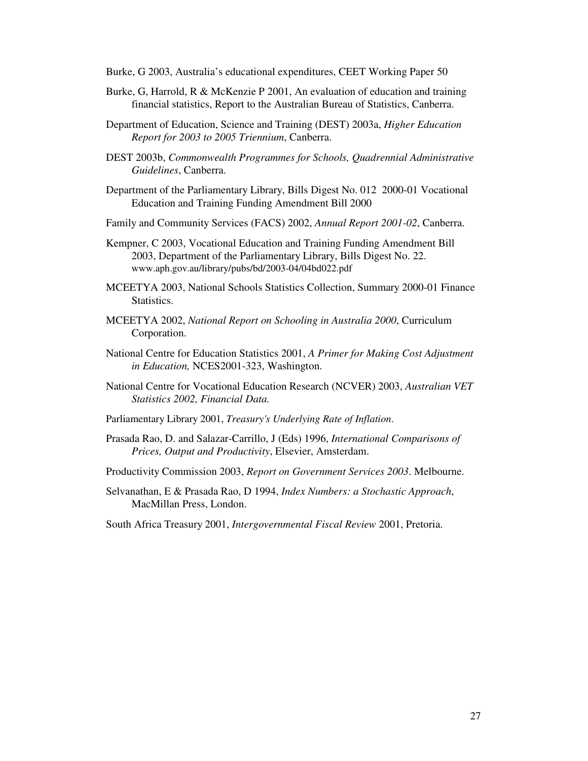- Burke, G 2003, Australia's educational expenditures, CEET Working Paper 50
- Burke, G, Harrold, R & McKenzie P 2001, An evaluation of education and training financial statistics, Report to the Australian Bureau of Statistics, Canberra.
- Department of Education, Science and Training (DEST) 2003a, *Higher Education Report for 2003 to 2005 Triennium*, Canberra.
- DEST 2003b, *Commonwealth Programmes for Schools, Quadrennial Administrative Guidelines*, Canberra.
- Department of the Parliamentary Library, Bills Digest No. 012 2000-01 Vocational Education and Training Funding Amendment Bill 2000
- Family and Community Services (FACS) 2002, *Annual Report 2001-02*, Canberra.
- Kempner, C 2003, Vocational Education and Training Funding Amendment Bill 2003, Department of the Parliamentary Library, Bills Digest No. 22. www.aph.gov.au/library/pubs/bd/2003-04/04bd022.pdf
- MCEETYA 2003, National Schools Statistics Collection, Summary 2000-01 Finance Statistics.
- MCEETYA 2002, *National Report on Schooling in Australia 2000*, Curriculum Corporation.
- National Centre for Education Statistics 2001, *A Primer for Making Cost Adjustment in Education,* NCES2001-323, Washington.
- National Centre for Vocational Education Research (NCVER) 2003, *Australian VET Statistics 2002, Financial Data.*
- Parliamentary Library 2001, *Treasury's Underlying Rate of Inflation*.
- Prasada Rao, D. and Salazar-Carrillo, J (Eds) 1996, *International Comparisons of Prices, Output and Productivity*, Elsevier, Amsterdam.
- Productivity Commission 2003, *Report on Government Services 2003*. Melbourne.
- Selvanathan, E & Prasada Rao, D 1994, *Index Numbers: a Stochastic Approach*, MacMillan Press, London.
- South Africa Treasury 2001, *Intergovernmental Fiscal Review* 2001, Pretoria.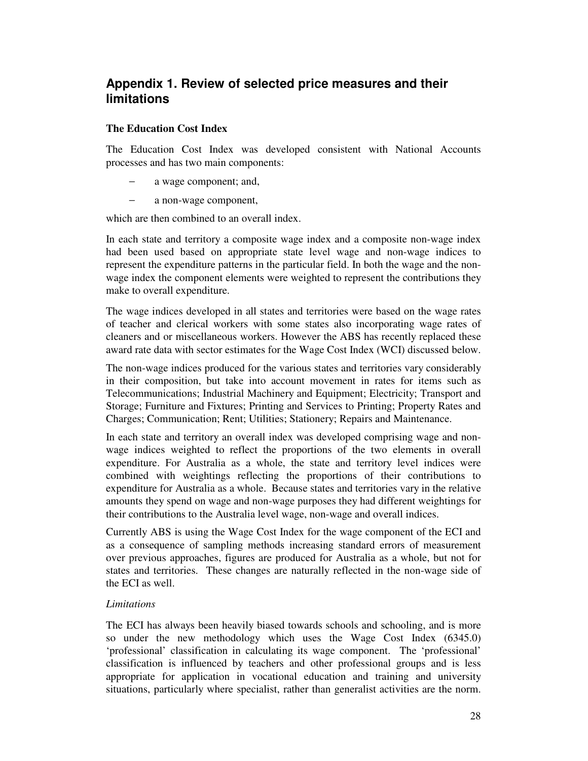# **Appendix 1. Review of selected price measures and their limitations**

## **The Education Cost Index**

The Education Cost Index was developed consistent with National Accounts processes and has two main components:

- a wage component; and,
- − a non-wage component,

which are then combined to an overall index.

In each state and territory a composite wage index and a composite non-wage index had been used based on appropriate state level wage and non-wage indices to represent the expenditure patterns in the particular field. In both the wage and the nonwage index the component elements were weighted to represent the contributions they make to overall expenditure.

The wage indices developed in all states and territories were based on the wage rates of teacher and clerical workers with some states also incorporating wage rates of cleaners and or miscellaneous workers. However the ABS has recently replaced these award rate data with sector estimates for the Wage Cost Index (WCI) discussed below.

The non-wage indices produced for the various states and territories vary considerably in their composition, but take into account movement in rates for items such as Telecommunications; Industrial Machinery and Equipment; Electricity; Transport and Storage; Furniture and Fixtures; Printing and Services to Printing; Property Rates and Charges; Communication; Rent; Utilities; Stationery; Repairs and Maintenance.

In each state and territory an overall index was developed comprising wage and nonwage indices weighted to reflect the proportions of the two elements in overall expenditure. For Australia as a whole, the state and territory level indices were combined with weightings reflecting the proportions of their contributions to expenditure for Australia as a whole. Because states and territories vary in the relative amounts they spend on wage and non-wage purposes they had different weightings for their contributions to the Australia level wage, non-wage and overall indices.

Currently ABS is using the Wage Cost Index for the wage component of the ECI and as a consequence of sampling methods increasing standard errors of measurement over previous approaches, figures are produced for Australia as a whole, but not for states and territories. These changes are naturally reflected in the non-wage side of the ECI as well.

## *Limitations*

The ECI has always been heavily biased towards schools and schooling, and is more so under the new methodology which uses the Wage Cost Index (6345.0) 'professional' classification in calculating its wage component. The 'professional' classification is influenced by teachers and other professional groups and is less appropriate for application in vocational education and training and university situations, particularly where specialist, rather than generalist activities are the norm.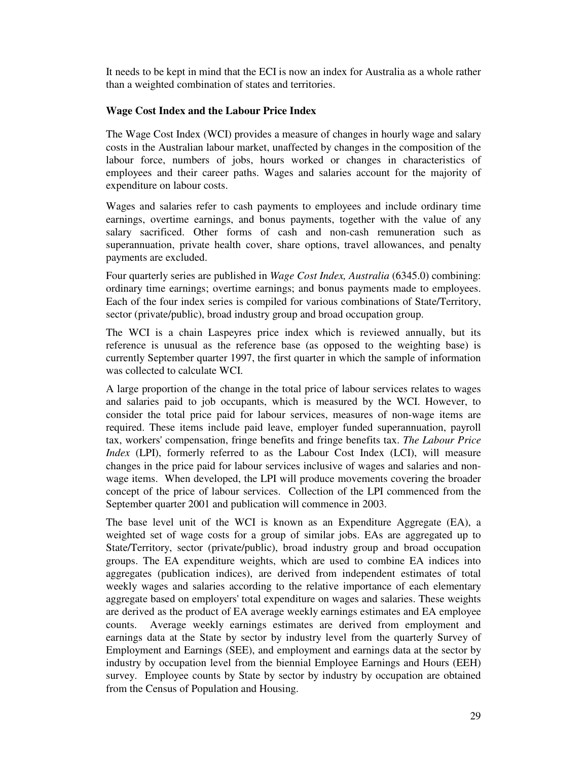It needs to be kept in mind that the ECI is now an index for Australia as a whole rather than a weighted combination of states and territories.

## **Wage Cost Index and the Labour Price Index**

The Wage Cost Index (WCI) provides a measure of changes in hourly wage and salary costs in the Australian labour market, unaffected by changes in the composition of the labour force, numbers of jobs, hours worked or changes in characteristics of employees and their career paths. Wages and salaries account for the majority of expenditure on labour costs.

Wages and salaries refer to cash payments to employees and include ordinary time earnings, overtime earnings, and bonus payments, together with the value of any salary sacrificed. Other forms of cash and non-cash remuneration such as superannuation, private health cover, share options, travel allowances, and penalty payments are excluded.

Four quarterly series are published in *Wage Cost Index, Australia* (6345.0) combining: ordinary time earnings; overtime earnings; and bonus payments made to employees. Each of the four index series is compiled for various combinations of State/Territory, sector (private/public), broad industry group and broad occupation group.

The WCI is a chain Laspeyres price index which is reviewed annually, but its reference is unusual as the reference base (as opposed to the weighting base) is currently September quarter 1997, the first quarter in which the sample of information was collected to calculate WCI.

A large proportion of the change in the total price of labour services relates to wages and salaries paid to job occupants, which is measured by the WCI. However, to consider the total price paid for labour services, measures of non-wage items are required. These items include paid leave, employer funded superannuation, payroll tax, workers'compensation, fringe benefits and fringe benefits tax. *The Labour Price Index* (LPI), formerly referred to as the Labour Cost Index (LCI), will measure changes in the price paid for labour services inclusive of wages and salaries and nonwage items. When developed, the LPI will produce movements covering the broader concept of the price of labour services. Collection of the LPI commenced from the September quarter 2001 and publication will commence in 2003.

The base level unit of the WCI is known as an Expenditure Aggregate (EA), a weighted set of wage costs for a group of similar jobs. EAs are aggregated up to State/Territory, sector (private/public), broad industry group and broad occupation groups. The EA expenditure weights, which are used to combine EA indices into aggregates (publication indices), are derived from independent estimates of total weekly wages and salaries according to the relative importance of each elementary aggregate based on employers'total expenditure on wages and salaries. These weights are derived as the product of EA average weekly earnings estimates and EA employee counts. Average weekly earnings estimates are derived from employment and earnings data at the State by sector by industry level from the quarterly Survey of Employment and Earnings (SEE), and employment and earnings data at the sector by industry by occupation level from the biennial Employee Earnings and Hours (EEH) survey. Employee counts by State by sector by industry by occupation are obtained from the Census of Population and Housing.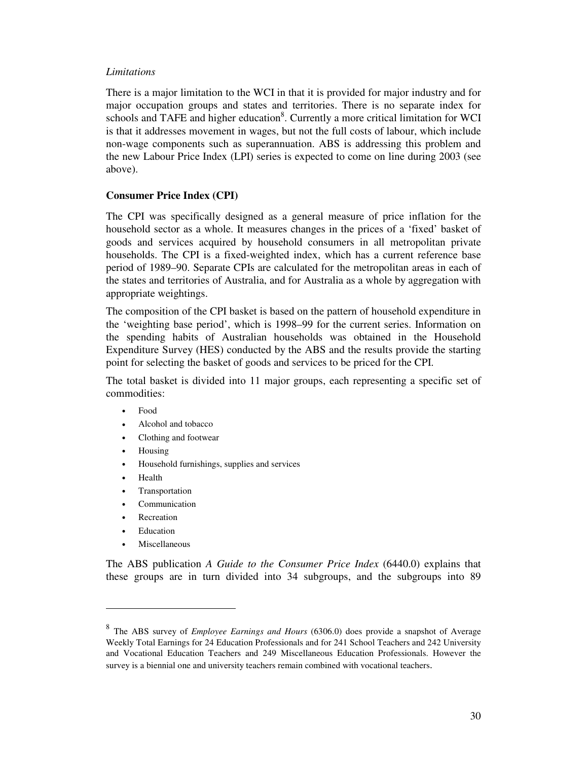#### *Limitations*

There is a major limitation to the WCI in that it is provided for major industry and for major occupation groups and states and territories. There is no separate index for schools and TAFE and higher education<sup>8</sup>. Currently a more critical limitation for WCI is that it addresses movement in wages, but not the full costs of labour, which include non-wage components such as superannuation. ABS is addressing this problem and the new Labour Price Index (LPI) series is expected to come on line during 2003 (see above).

## **Consumer Price Index (CPI)**

The CPI was specifically designed as a general measure of price inflation for the household sector as a whole. It measures changes in the prices of a 'fixed' basket of goods and services acquired by household consumers in all metropolitan private households. The CPI is a fixed-weighted index, which has a current reference base period of 1989–90. Separate CPIs are calculated for the metropolitan areas in each of the states and territories of Australia, and for Australia as a whole by aggregation with appropriate weightings.

The composition of the CPI basket is based on the pattern of household expenditure in the 'weighting base period', which is 1998–99 for the current series. Information on the spending habits of Australian households was obtained in the Household Expenditure Survey (HES) conducted by the ABS and the results provide the starting point for selecting the basket of goods and services to be priced for the CPI.

The total basket is divided into 11 major groups, each representing a specific set of commodities:

- Food
- Alcohol and tobacco
- Clothing and footwear
- Housing
- Household furnishings, supplies and services
- Health
- Transportation
- **Communication**
- **Recreation**
- **Education**
- **Miscellaneous**

The ABS publication *A Guide to the Consumer Price Index* (6440.0) explains that these groups are in turn divided into 34 subgroups, and the subgroups into 89

<sup>8</sup> The ABS survey of *Employee Earnings and Hours* (6306.0) does provide a snapshot of Average Weekly Total Earnings for 24 Education Professionals and for 241 School Teachers and 242 University and Vocational Education Teachers and 249 Miscellaneous Education Professionals. However the survey is a biennial one and university teachers remain combined with vocational teachers.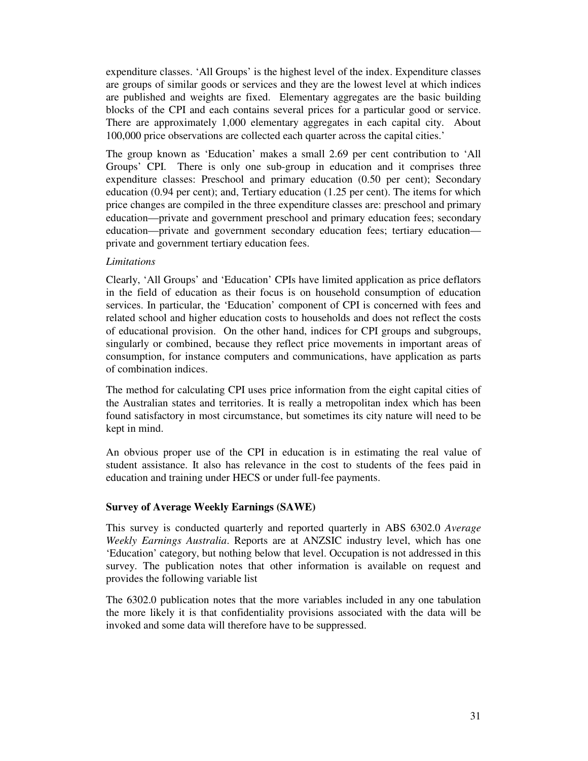expenditure classes. 'All Groups' is the highest level of the index. Expenditure classes are groups of similar goods or services and they are the lowest level at which indices are published and weights are fixed. Elementary aggregates are the basic building blocks of the CPI and each contains several prices for a particular good or service. There are approximately 1,000 elementary aggregates in each capital city. About 100,000 price observations are collected each quarter across the capital cities.'

The group known as 'Education' makes a small 2.69 per cent contribution to 'All Groups' CPI. There is only one sub-group in education and it comprises three expenditure classes: Preschool and primary education (0.50 per cent); Secondary education (0.94 per cent); and, Tertiary education (1.25 per cent). The items for which price changes are compiled in the three expenditure classes are: preschool and primary education—private and government preschool and primary education fees; secondary education—private and government secondary education fees; tertiary education private and government tertiary education fees.

## *Limitations*

Clearly, 'All Groups' and 'Education' CPIs have limited application as price deflators in the field of education as their focus is on household consumption of education services. In particular, the 'Education' component of CPI is concerned with fees and related school and higher education costs to households and does not reflect the costs of educational provision. On the other hand, indices for CPI groups and subgroups, singularly or combined, because they reflect price movements in important areas of consumption, for instance computers and communications, have application as parts of combination indices.

The method for calculating CPI uses price information from the eight capital cities of the Australian states and territories. It is really a metropolitan index which has been found satisfactory in most circumstance, but sometimes its city nature will need to be kept in mind.

An obvious proper use of the CPI in education is in estimating the real value of student assistance. It also has relevance in the cost to students of the fees paid in education and training under HECS or under full-fee payments.

## **Survey of Average Weekly Earnings (SAWE)**

This survey is conducted quarterly and reported quarterly in ABS 6302.0 *Average Weekly Earnings Australia*. Reports are at ANZSIC industry level, which has one 'Education' category, but nothing below that level. Occupation is not addressed in this survey. The publication notes that other information is available on request and provides the following variable list

The 6302.0 publication notes that the more variables included in any one tabulation the more likely it is that confidentiality provisions associated with the data will be invoked and some data will therefore have to be suppressed.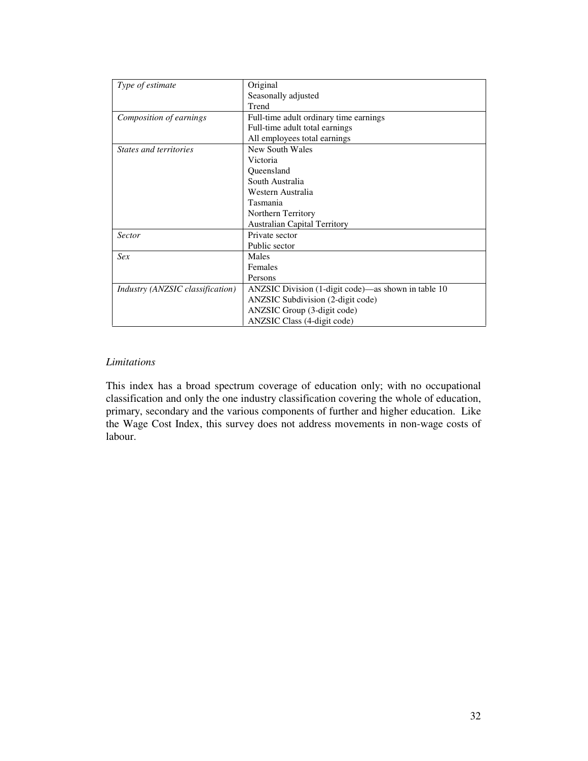| Type of estimate                        | Original                                            |
|-----------------------------------------|-----------------------------------------------------|
|                                         | Seasonally adjusted                                 |
|                                         | Trend                                               |
| Composition of earnings                 | Full-time adult ordinary time earnings              |
|                                         | Full-time adult total earnings                      |
|                                         | All employees total earnings                        |
| States and territories                  | New South Wales                                     |
|                                         | Victoria                                            |
|                                         | Queensland                                          |
|                                         | South Australia                                     |
|                                         | Western Australia                                   |
|                                         | Tasmania                                            |
|                                         | Northern Territory                                  |
|                                         | <b>Australian Capital Territory</b>                 |
| <b>Sector</b>                           | Private sector                                      |
|                                         | Public sector                                       |
| Sex                                     | Males                                               |
|                                         | Females                                             |
|                                         | Persons                                             |
| <i>Industry (ANZSIC classification)</i> | ANZSIC Division (1-digit code)-as shown in table 10 |
|                                         | ANZSIC Subdivision (2-digit code)                   |
|                                         | ANZSIC Group (3-digit code)                         |
|                                         | ANZSIC Class (4-digit code)                         |

# *Limitations*

This index has a broad spectrum coverage of education only; with no occupational classification and only the one industry classification covering the whole of education, primary, secondary and the various components of further and higher education. Like the Wage Cost Index, this survey does not address movements in non-wage costs of labour.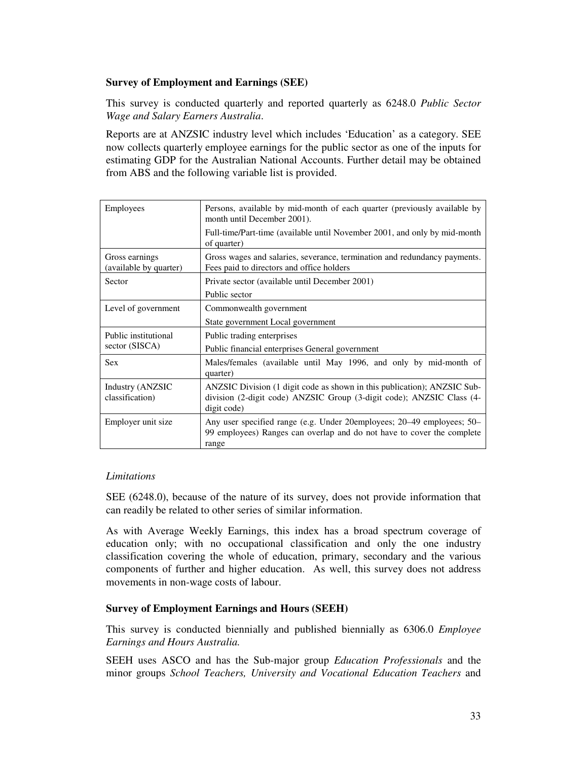## **Survey of Employment and Earnings (SEE)**

This survey is conducted quarterly and reported quarterly as 6248.0 *Public Sector Wage and Salary Earners Australia*.

Reports are at ANZSIC industry level which includes 'Education' as a category. SEE now collects quarterly employee earnings for the public sector as one of the inputs for estimating GDP for the Australian National Accounts. Further detail may be obtained from ABS and the following variable list is provided.

| Employees                                | Persons, available by mid-month of each quarter (previously available by<br>month until December 2001).<br>Full-time/Part-time (available until November 2001, and only by mid-month<br>of quarter) |
|------------------------------------------|-----------------------------------------------------------------------------------------------------------------------------------------------------------------------------------------------------|
| Gross earnings<br>(available by quarter) | Gross wages and salaries, severance, termination and redundancy payments.<br>Fees paid to directors and office holders                                                                              |
| Sector                                   | Private sector (available until December 2001)<br>Public sector                                                                                                                                     |
| Level of government                      | Commonwealth government<br>State government Local government                                                                                                                                        |
| Public institutional<br>sector (SISCA)   | Public trading enterprises<br>Public financial enterprises General government                                                                                                                       |
| <b>Sex</b>                               | Males/females (available until May 1996, and only by mid-month of<br>quarter)                                                                                                                       |
| Industry (ANZSIC<br>classification)      | ANZSIC Division (1 digit code as shown in this publication); ANZSIC Sub-<br>division (2-digit code) ANZSIC Group (3-digit code); ANZSIC Class (4-<br>digit code)                                    |
| Employer unit size                       | Any user specified range (e.g. Under 20employees; 20–49 employees; 50–<br>99 employees) Ranges can overlap and do not have to cover the complete<br>range                                           |

## *Limitations*

SEE (6248.0), because of the nature of its survey, does not provide information that can readily be related to other series of similar information.

As with Average Weekly Earnings, this index has a broad spectrum coverage of education only; with no occupational classification and only the one industry classification covering the whole of education, primary, secondary and the various components of further and higher education. As well, this survey does not address movements in non-wage costs of labour.

#### **Survey of Employment Earnings and Hours (SEEH)**

This survey is conducted biennially and published biennially as 6306.0 *Employee Earnings and Hours Australia.*

SEEH uses ASCO and has the Sub-major group *Education Professionals* and the minor groups *School Teachers, University and Vocational Education Teachers* and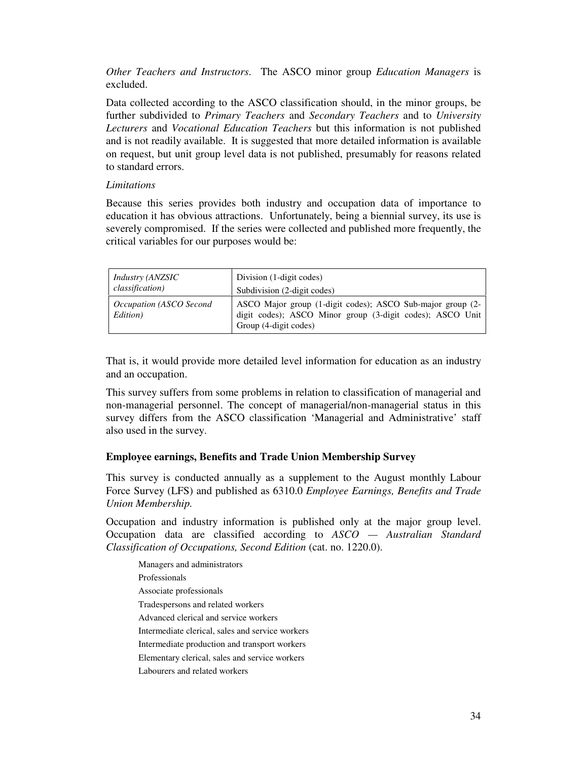*Other Teachers and Instructors*. The ASCO minor group *Education Managers* is excluded.

Data collected according to the ASCO classification should, in the minor groups, be further subdivided to *Primary Teachers* and *Secondary Teachers* and to *University Lecturers* and *Vocational Education Teachers* but this information is not published and is not readily available. It is suggested that more detailed information is available on request, but unit group level data is not published, presumably for reasons related to standard errors.

#### *Limitations*

Because this series provides both industry and occupation data of importance to education it has obvious attractions. Unfortunately, being a biennial survey, its use is severely compromised. If the series were collected and published more frequently, the critical variables for our purposes would be:

| <i>Industry (ANZSIC</i>             | Division (1-digit codes)                                                                                                                         |
|-------------------------------------|--------------------------------------------------------------------------------------------------------------------------------------------------|
| <i>classification</i> )             | Subdivision (2-digit codes)                                                                                                                      |
| Occupation (ASCO Second<br>Edition) | ASCO Major group (1-digit codes); ASCO Sub-major group (2-<br>digit codes); ASCO Minor group (3-digit codes); ASCO Unit<br>Group (4-digit codes) |

That is, it would provide more detailed level information for education as an industry and an occupation.

This survey suffers from some problems in relation to classification of managerial and non-managerial personnel. The concept of managerial/non-managerial status in this survey differs from the ASCO classification 'Managerial and Administrative' staff also used in the survey.

## **Employee earnings, Benefits and Trade Union Membership Survey**

This survey is conducted annually as a supplement to the August monthly Labour Force Survey (LFS) and published as 6310.0 *Employee Earnings, Benefits and Trade Union Membership.*

Occupation and industry information is published only at the major group level. Occupation data are classified according to *ASCO — Australian Standard Classification of Occupations, Second Edition* (cat. no. 1220.0).

Managers and administrators Professionals Associate professionals Tradespersons and related workers Advanced clerical and service workers Intermediate clerical, sales and service workers Intermediate production and transport workers Elementary clerical, sales and service workers Labourers and related workers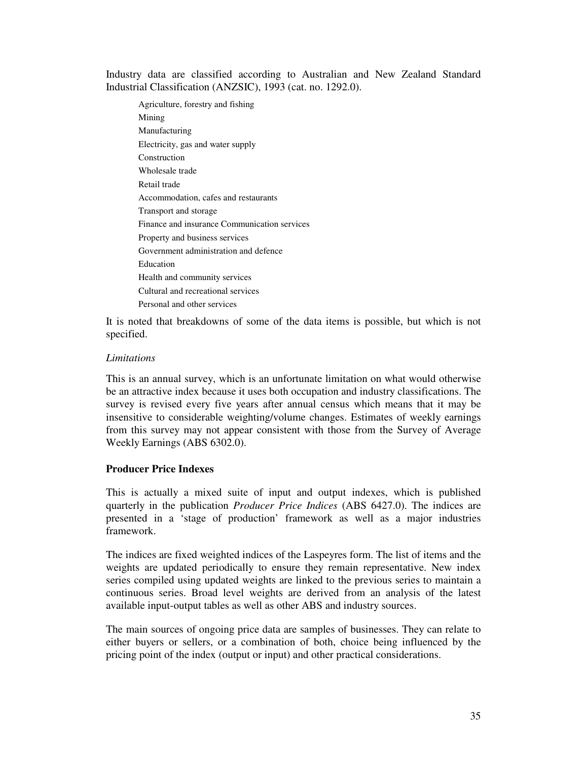Industry data are classified according to Australian and New Zealand Standard Industrial Classification (ANZSIC), 1993 (cat. no. 1292.0).

Agriculture, forestry and fishing Mining Manufacturing Electricity, gas and water supply Construction Wholesale trade Retail trade Accommodation, cafes and restaurants Transport and storage Finance and insurance Communication services Property and business services Government administration and defence Education Health and community services Cultural and recreational services Personal and other services

It is noted that breakdowns of some of the data items is possible, but which is not specified.

#### *Limitations*

This is an annual survey, which is an unfortunate limitation on what would otherwise be an attractive index because it uses both occupation and industry classifications. The survey is revised every five years after annual census which means that it may be insensitive to considerable weighting/volume changes. Estimates of weekly earnings from this survey may not appear consistent with those from the Survey of Average Weekly Earnings (ABS 6302.0).

## **Producer Price Indexes**

This is actually a mixed suite of input and output indexes, which is published quarterly in the publication *Producer Price Indices* (ABS 6427.0). The indices are presented in a 'stage of production' framework as well as a major industries framework.

The indices are fixed weighted indices of the Laspeyres form. The list of items and the weights are updated periodically to ensure they remain representative. New index series compiled using updated weights are linked to the previous series to maintain a continuous series. Broad level weights are derived from an analysis of the latest available input-output tables as well as other ABS and industry sources.

The main sources of ongoing price data are samples of businesses. They can relate to either buyers or sellers, or a combination of both, choice being influenced by the pricing point of the index (output or input) and other practical considerations.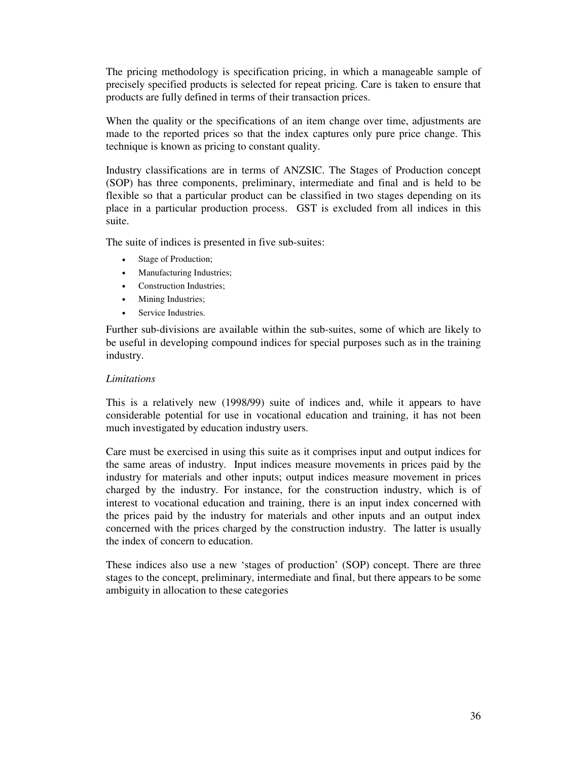The pricing methodology is specification pricing, in which a manageable sample of precisely specified products is selected for repeat pricing. Care is taken to ensure that products are fully defined in terms of their transaction prices.

When the quality or the specifications of an item change over time, adjustments are made to the reported prices so that the index captures only pure price change. This technique is known as pricing to constant quality.

Industry classifications are in terms of ANZSIC. The Stages of Production concept (SOP) has three components, preliminary, intermediate and final and is held to be flexible so that a particular product can be classified in two stages depending on its place in a particular production process. GST is excluded from all indices in this suite.

The suite of indices is presented in five sub-suites:

- Stage of Production;
- Manufacturing Industries;
- Construction Industries;
- Mining Industries;
- Service Industries.

Further sub-divisions are available within the sub-suites, some of which are likely to be useful in developing compound indices for special purposes such as in the training industry.

#### *Limitations*

This is a relatively new (1998/99) suite of indices and, while it appears to have considerable potential for use in vocational education and training, it has not been much investigated by education industry users.

Care must be exercised in using this suite as it comprises input and output indices for the same areas of industry. Input indices measure movements in prices paid by the industry for materials and other inputs; output indices measure movement in prices charged by the industry. For instance, for the construction industry, which is of interest to vocational education and training, there is an input index concerned with the prices paid by the industry for materials and other inputs and an output index concerned with the prices charged by the construction industry. The latter is usually the index of concern to education.

These indices also use a new 'stages of production' (SOP) concept. There are three stages to the concept, preliminary, intermediate and final, but there appears to be some ambiguity in allocation to these categories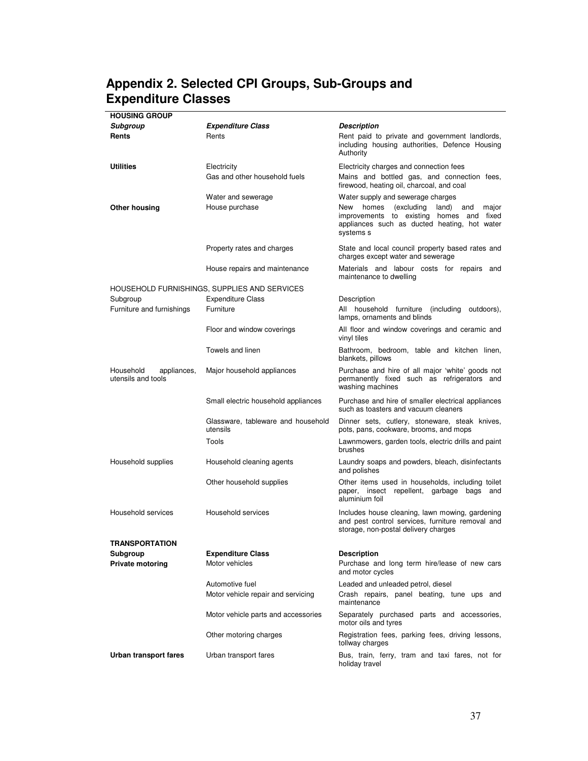# **Appendix 2. Selected CPI Groups, Sub-Groups and Expenditure Classes**

| <b>HOUSING GROUP</b>                           |                                                |                                                                                                                                                              |
|------------------------------------------------|------------------------------------------------|--------------------------------------------------------------------------------------------------------------------------------------------------------------|
| Subgroup                                       | <b>Expenditure Class</b>                       | Description                                                                                                                                                  |
| Rents                                          | Rents                                          | Rent paid to private and government landlords,<br>including housing authorities, Defence Housing<br>Authority                                                |
| <b>Utilities</b>                               | Electricity                                    | Electricity charges and connection fees                                                                                                                      |
|                                                | Gas and other household fuels                  | Mains and bottled gas, and connection fees,<br>firewood, heating oil, charcoal, and coal                                                                     |
|                                                | Water and sewerage                             | Water supply and sewerage charges                                                                                                                            |
| Other housing                                  | House purchase                                 | homes<br>(excluding<br>New<br>land)<br>and<br>major<br>improvements to existing homes and fixed<br>appliances such as ducted heating, hot water<br>systems s |
|                                                | Property rates and charges                     | State and local council property based rates and<br>charges except water and sewerage                                                                        |
|                                                | House repairs and maintenance                  | Materials and labour costs for repairs and<br>maintenance to dwelling                                                                                        |
|                                                | HOUSEHOLD FURNISHINGS, SUPPLIES AND SERVICES   |                                                                                                                                                              |
| Subgroup                                       | <b>Expenditure Class</b>                       | Description                                                                                                                                                  |
| Furniture and furnishings                      | Furniture                                      | All household furniture (including outdoors),<br>lamps, ornaments and blinds                                                                                 |
|                                                | Floor and window coverings                     | All floor and window coverings and ceramic and<br>vinyl tiles                                                                                                |
|                                                | Towels and linen                               | Bathroom, bedroom, table and kitchen linen,<br>blankets, pillows                                                                                             |
| Household<br>appliances,<br>utensils and tools | Major household appliances                     | Purchase and hire of all major 'white' goods not<br>permanently fixed such as refrigerators and<br>washing machines                                          |
|                                                | Small electric household appliances            | Purchase and hire of smaller electrical appliances<br>such as toasters and vacuum cleaners                                                                   |
|                                                | Glassware, tableware and household<br>utensils | Dinner sets, cutlery, stoneware, steak knives,<br>pots, pans, cookware, brooms, and mops                                                                     |
|                                                | Tools                                          | Lawnmowers, garden tools, electric drills and paint<br>brushes                                                                                               |
| Household supplies                             | Household cleaning agents                      | Laundry soaps and powders, bleach, disinfectants<br>and polishes                                                                                             |
|                                                | Other household supplies                       | Other items used in households, including toilet<br>paper, insect repellent, garbage bags and<br>aluminium foil                                              |
| Household services                             | Household services                             | Includes house cleaning, lawn mowing, gardening<br>and pest control services, furniture removal and<br>storage, non-postal delivery charges                  |
| TRANSPORTATION                                 |                                                |                                                                                                                                                              |
| Subgroup                                       | <b>Expenditure Class</b>                       | <b>Description</b>                                                                                                                                           |
| <b>Private motoring</b>                        | Motor vehicles                                 | Purchase and long term hire/lease of new cars<br>and motor cycles                                                                                            |
|                                                | Automotive fuel                                | Leaded and unleaded petrol, diesel                                                                                                                           |
|                                                | Motor vehicle repair and servicing             | Crash repairs, panel beating, tune ups and<br>maintenance                                                                                                    |
|                                                | Motor vehicle parts and accessories            | Separately purchased parts and accessories,<br>motor oils and tyres                                                                                          |
|                                                | Other motoring charges                         | Registration fees, parking fees, driving lessons,<br>tollway charges                                                                                         |
| Urban transport fares                          | Urban transport fares                          | Bus, train, ferry, tram and taxi fares, not for<br>holiday travel                                                                                            |